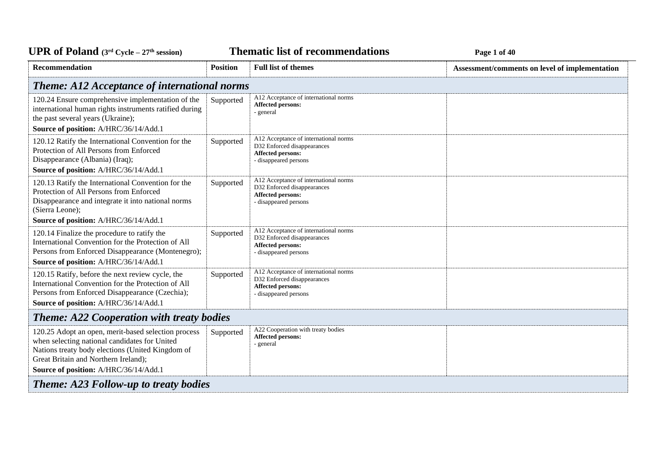**Thematic list of recommendations Page 1** of 40

| <b>Recommendation</b>                                                                                                                                                                                                                     | <b>Position</b> | <b>Full list of themes</b>                                                                                                | Assessment/comments on level of implementation |
|-------------------------------------------------------------------------------------------------------------------------------------------------------------------------------------------------------------------------------------------|-----------------|---------------------------------------------------------------------------------------------------------------------------|------------------------------------------------|
| <b>Theme: A12 Acceptance of international norms</b>                                                                                                                                                                                       |                 |                                                                                                                           |                                                |
| 120.24 Ensure comprehensive implementation of the<br>international human rights instruments ratified during<br>the past several years (Ukraine);<br>Source of position: A/HRC/36/14/Add.1                                                 | Supported       | A12 Acceptance of international norms<br><b>Affected persons:</b><br>- general                                            |                                                |
| 120.12 Ratify the International Convention for the<br>Protection of All Persons from Enforced<br>Disappearance (Albania) (Iraq);<br>Source of position: A/HRC/36/14/Add.1                                                                 | Supported       | A12 Acceptance of international norms<br>D32 Enforced disappearances<br><b>Affected persons:</b><br>- disappeared persons |                                                |
| 120.13 Ratify the International Convention for the<br>Protection of All Persons from Enforced<br>Disappearance and integrate it into national norms<br>(Sierra Leone);<br>Source of position: A/HRC/36/14/Add.1                           | Supported       | A12 Acceptance of international norms<br>D32 Enforced disappearances<br><b>Affected persons:</b><br>- disappeared persons |                                                |
|                                                                                                                                                                                                                                           |                 | A12 Acceptance of international norms                                                                                     |                                                |
| 120.14 Finalize the procedure to ratify the<br>International Convention for the Protection of All<br>Persons from Enforced Disappearance (Montenegro);<br>Source of position: A/HRC/36/14/Add.1                                           | Supported       | D32 Enforced disappearances<br><b>Affected persons:</b><br>- disappeared persons                                          |                                                |
| 120.15 Ratify, before the next review cycle, the<br>International Convention for the Protection of All<br>Persons from Enforced Disappearance (Czechia);<br>Source of position: A/HRC/36/14/Add.1                                         | Supported       | A12 Acceptance of international norms<br>D32 Enforced disappearances<br><b>Affected persons:</b><br>- disappeared persons |                                                |
| <b>Theme: A22 Cooperation with treaty bodies</b>                                                                                                                                                                                          |                 |                                                                                                                           |                                                |
| 120.25 Adopt an open, merit-based selection process<br>when selecting national candidates for United<br>Nations treaty body elections (United Kingdom of<br>Great Britain and Northern Ireland);<br>Source of position: A/HRC/36/14/Add.1 | Supported       | A22 Cooperation with treaty bodies<br><b>Affected persons:</b><br>- general                                               |                                                |
| <b>Theme: A23 Follow-up to treaty bodies</b>                                                                                                                                                                                              |                 |                                                                                                                           |                                                |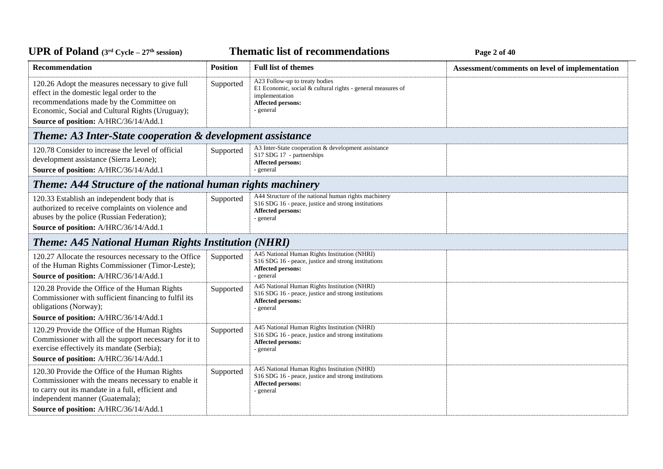**Thematic list of recommendations Page 2** of 40

| Recommendation                                                                                                                                                                                                                        | <b>Position</b> | <b>Full list of themes</b>                                                                                                                                   | Assessment/comments on level of implementation |
|---------------------------------------------------------------------------------------------------------------------------------------------------------------------------------------------------------------------------------------|-----------------|--------------------------------------------------------------------------------------------------------------------------------------------------------------|------------------------------------------------|
| 120.26 Adopt the measures necessary to give full<br>effect in the domestic legal order to the<br>recommendations made by the Committee on<br>Economic, Social and Cultural Rights (Uruguay);<br>Source of position: A/HRC/36/14/Add.1 | Supported       | A23 Follow-up to treaty bodies<br>E1 Economic, social $&$ cultural rights - general measures of<br>implementation<br><b>Affected persons:</b><br>- general   |                                                |
| <b>Theme: A3 Inter-State cooperation &amp; development assistance</b>                                                                                                                                                                 |                 |                                                                                                                                                              |                                                |
| 120.78 Consider to increase the level of official<br>development assistance (Sierra Leone);<br>Source of position: A/HRC/36/14/Add.1                                                                                                  | Supported       | A3 Inter-State cooperation & development assistance<br>S17 SDG 17 - partnerships<br>Affected persons:<br>- general                                           |                                                |
| <b>Theme: A44 Structure of the national human rights machinery</b>                                                                                                                                                                    |                 |                                                                                                                                                              |                                                |
| 120.33 Establish an independent body that is<br>authorized to receive complaints on violence and<br>abuses by the police (Russian Federation);<br>Source of position: A/HRC/36/14/Add.1                                               | Supported       | A44 Structure of the national human rights machinery<br>S16 SDG 16 - peace, justice and strong institutions<br><b>Affected persons:</b><br>- general         |                                                |
| <b>Theme: A45 National Human Rights Institution (NHRI)</b>                                                                                                                                                                            |                 |                                                                                                                                                              |                                                |
| 120.27 Allocate the resources necessary to the Office<br>of the Human Rights Commissioner (Timor-Leste);<br>Source of position: A/HRC/36/14/Add.1                                                                                     | Supported       | A45 National Human Rights Institution (NHRI)<br>S16 SDG 16 - peace, justice and strong institutions<br>Affected persons:<br>- general                        |                                                |
| 120.28 Provide the Office of the Human Rights<br>Commissioner with sufficient financing to fulfil its<br>obligations (Norway);                                                                                                        | Supported       | A45 National Human Rights Institution (NHRI)<br>S <sub>16</sub> SDG <sub>16</sub> - peace, justice and strong institutions<br>Affected persons:<br>- general |                                                |
| Source of position: A/HRC/36/14/Add.1                                                                                                                                                                                                 |                 |                                                                                                                                                              |                                                |
| 120.29 Provide the Office of the Human Rights<br>Commissioner with all the support necessary for it to<br>exercise effectively its mandate (Serbia);                                                                                  | Supported       | A45 National Human Rights Institution (NHRI)<br>S16 SDG 16 - peace, justice and strong institutions<br>Affected persons:<br>- general                        |                                                |
| Source of position: A/HRC/36/14/Add.1                                                                                                                                                                                                 |                 |                                                                                                                                                              |                                                |
| 120.30 Provide the Office of the Human Rights<br>Commissioner with the means necessary to enable it<br>to carry out its mandate in a full, efficient and<br>independent manner (Guatemala);                                           | Supported       | A45 National Human Rights Institution (NHRI)<br>S16 SDG 16 - peace, justice and strong institutions<br><b>Affected persons:</b><br>- general                 |                                                |
| Source of position: A/HRC/36/14/Add.1                                                                                                                                                                                                 |                 |                                                                                                                                                              |                                                |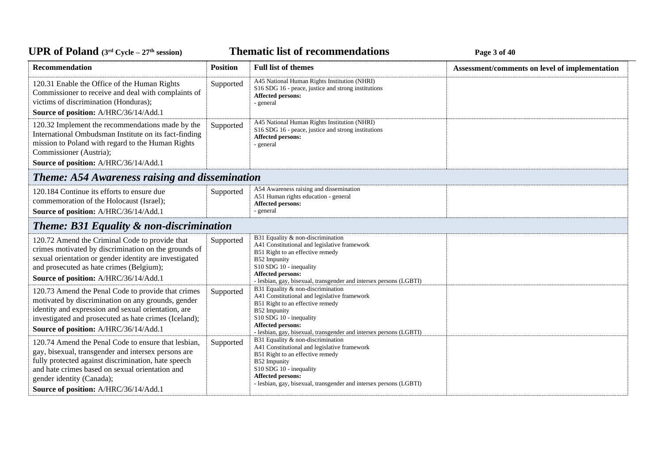**Thematic list of recommendations Page 3** of 40

| <b>Recommendation</b>                                                                                                                                                                                                                                                                      | <b>Position</b> | <b>Full list of themes</b>                                                                                                                                                                                                                                  | Assessment/comments on level of implementation |
|--------------------------------------------------------------------------------------------------------------------------------------------------------------------------------------------------------------------------------------------------------------------------------------------|-----------------|-------------------------------------------------------------------------------------------------------------------------------------------------------------------------------------------------------------------------------------------------------------|------------------------------------------------|
| 120.31 Enable the Office of the Human Rights<br>Commissioner to receive and deal with complaints of<br>victims of discrimination (Honduras);<br>Source of position: A/HRC/36/14/Add.1                                                                                                      | Supported       | A45 National Human Rights Institution (NHRI)<br>S16 SDG 16 - peace, justice and strong institutions<br>Affected persons:<br>- general                                                                                                                       |                                                |
| 120.32 Implement the recommendations made by the<br>International Ombudsman Institute on its fact-finding<br>mission to Poland with regard to the Human Rights<br>Commissioner (Austria);<br>Source of position: A/HRC/36/14/Add.1                                                         | Supported       | A45 National Human Rights Institution (NHRI)<br>S16 SDG 16 - peace, justice and strong institutions<br>Affected persons:<br>- general                                                                                                                       |                                                |
| <b>Theme: A54 Awareness raising and dissemination</b>                                                                                                                                                                                                                                      |                 |                                                                                                                                                                                                                                                             |                                                |
| 120.184 Continue its efforts to ensure due<br>commemoration of the Holocaust (Israel);<br>Source of position: A/HRC/36/14/Add.1                                                                                                                                                            | Supported       | A54 Awareness raising and dissemination<br>A51 Human rights education - general<br><b>Affected persons:</b><br>- general                                                                                                                                    |                                                |
| <b>Theme: B31 Equality &amp; non-discrimination</b>                                                                                                                                                                                                                                        |                 |                                                                                                                                                                                                                                                             |                                                |
| 120.72 Amend the Criminal Code to provide that<br>crimes motivated by discrimination on the grounds of<br>sexual orientation or gender identity are investigated<br>and prosecuted as hate crimes (Belgium);<br>Source of position: A/HRC/36/14/Add.1                                      | Supported       | B31 Equality & non-discrimination<br>A41 Constitutional and legislative framework<br>B51 Right to an effective remedy<br>B52 Impunity<br>S10 SDG 10 - inequality<br>Affected persons:<br>- lesbian, gay, bisexual, transgender and intersex persons (LGBTI) |                                                |
| 120.73 Amend the Penal Code to provide that crimes<br>motivated by discrimination on any grounds, gender<br>identity and expression and sexual orientation, are<br>investigated and prosecuted as hate crimes (Iceland);<br>Source of position: A/HRC/36/14/Add.1                          | Supported       | B31 Equality & non-discrimination<br>A41 Constitutional and legislative framework<br>B51 Right to an effective remedy<br>B52 Impunity<br>S10 SDG 10 - inequality<br>Affected persons:<br>- lesbian, gay, bisexual, transgender and intersex persons (LGBTI) |                                                |
| 120.74 Amend the Penal Code to ensure that lesbian,<br>gay, bisexual, transgender and intersex persons are<br>fully protected against discrimination, hate speech<br>and hate crimes based on sexual orientation and<br>gender identity (Canada);<br>Source of position: A/HRC/36/14/Add.1 | Supported       | B31 Equality & non-discrimination<br>A41 Constitutional and legislative framework<br>B51 Right to an effective remedy<br>B52 Impunity<br>S10 SDG 10 - inequality<br>Affected persons:<br>- lesbian, gay, bisexual, transgender and intersex persons (LGBTI) |                                                |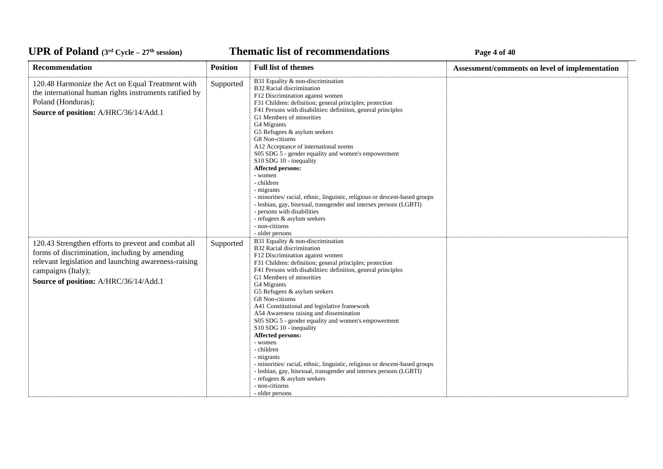### **Thematic list of recommendations Page 4** of 40

| Recommendation                                                                                                                                                                                                               | <b>Position</b> | <b>Full list of themes</b>                                                                                                                                                                                                                                                                                                                                                                                                                                                                                                                                                                                                                                                                                                                                                                     | Assessment/comments on level of implementation |
|------------------------------------------------------------------------------------------------------------------------------------------------------------------------------------------------------------------------------|-----------------|------------------------------------------------------------------------------------------------------------------------------------------------------------------------------------------------------------------------------------------------------------------------------------------------------------------------------------------------------------------------------------------------------------------------------------------------------------------------------------------------------------------------------------------------------------------------------------------------------------------------------------------------------------------------------------------------------------------------------------------------------------------------------------------------|------------------------------------------------|
| 120.48 Harmonize the Act on Equal Treatment with<br>the international human rights instruments ratified by<br>Poland (Honduras);<br>Source of position: A/HRC/36/14/Add.1                                                    | Supported       | B31 Equality & non-discrimination<br>B32 Racial discrimination<br>F12 Discrimination against women<br>F31 Children: definition; general principles; protection<br>F41 Persons with disabilities: definition, general principles<br>G1 Members of minorities<br>G4 Migrants<br>G5 Refugees & asylum seekers<br>G8 Non-citizens<br>A12 Acceptance of international norms<br>S05 SDG 5 - gender equality and women's empowerment<br>S10 SDG 10 - inequality<br>Affected persons:<br>- women<br>- children<br>- migrants<br>- minorities/ racial, ethnic, linguistic, religious or descent-based groups<br>- lesbian, gay, bisexual, transgender and intersex persons (LGBTI)<br>- persons with disabilities<br>- refugees & asylum seekers<br>- non-citizens<br>- older persons                   |                                                |
| 120.43 Strengthen efforts to prevent and combat all<br>forms of discrimination, including by amending<br>relevant legislation and launching awareness-raising<br>campaigns (Italy);<br>Source of position: A/HRC/36/14/Add.1 | Supported       | B31 Equality & non-discrimination<br>B32 Racial discrimination<br>F12 Discrimination against women<br>F31 Children: definition; general principles; protection<br>F41 Persons with disabilities: definition, general principles<br>G1 Members of minorities<br>G4 Migrants<br>G5 Refugees & asylum seekers<br>G8 Non-citizens<br>A41 Constitutional and legislative framework<br>A54 Awareness raising and dissemination<br>S05 SDG 5 - gender equality and women's empowerment<br>S10 SDG 10 - inequality<br>Affected persons:<br>- women<br>- children<br>- migrants<br>- minorities/racial, ethnic, linguistic, religious or descent-based groups<br>- lesbian, gay, bisexual, transgender and intersex persons (LGBTI)<br>- refugees & asylum seekers<br>- non-citizens<br>- older persons |                                                |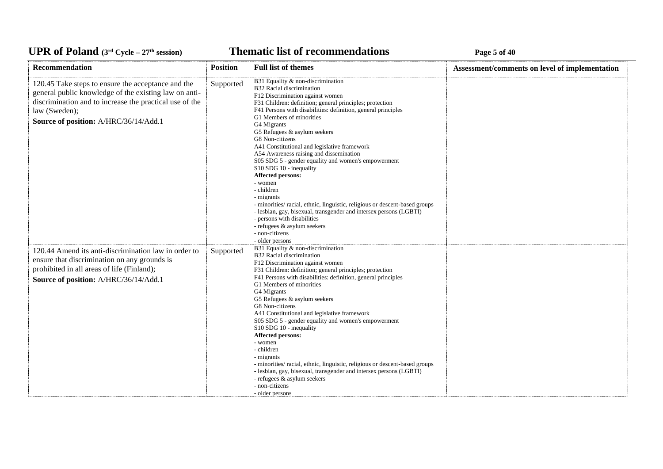### **Thematic list of recommendations Page 5** of 40

| <b>Recommendation</b>                                                                                                                                                                                                            | <b>Position</b> | <b>Full list of themes</b>                                                                                                                                                                                                                                                                                                                                                                                                                                                                                                                                                                                                                                                                                                                                                                                                    | Assessment/comments on level of implementation |
|----------------------------------------------------------------------------------------------------------------------------------------------------------------------------------------------------------------------------------|-----------------|-------------------------------------------------------------------------------------------------------------------------------------------------------------------------------------------------------------------------------------------------------------------------------------------------------------------------------------------------------------------------------------------------------------------------------------------------------------------------------------------------------------------------------------------------------------------------------------------------------------------------------------------------------------------------------------------------------------------------------------------------------------------------------------------------------------------------------|------------------------------------------------|
| 120.45 Take steps to ensure the acceptance and the<br>general public knowledge of the existing law on anti-<br>discrimination and to increase the practical use of the<br>law (Sweden);<br>Source of position: A/HRC/36/14/Add.1 | Supported       | B31 Equality & non-discrimination<br>B32 Racial discrimination<br>F12 Discrimination against women<br>F31 Children: definition; general principles; protection<br>F41 Persons with disabilities: definition, general principles<br>G1 Members of minorities<br>G4 Migrants<br>G5 Refugees & asylum seekers<br>G8 Non-citizens<br>A41 Constitutional and legislative framework<br>A54 Awareness raising and dissemination<br>S05 SDG 5 - gender equality and women's empowerment<br>S10 SDG 10 - inequality<br>Affected persons:<br>- women<br>- children<br>- migrants<br>- minorities/racial, ethnic, linguistic, religious or descent-based groups<br>- lesbian, gay, bisexual, transgender and intersex persons (LGBTI)<br>- persons with disabilities<br>- refugees & asylum seekers<br>- non-citizens<br>- older persons |                                                |
| 120.44 Amend its anti-discrimination law in order to<br>ensure that discrimination on any grounds is<br>prohibited in all areas of life (Finland);<br>Source of position: A/HRC/36/14/Add.1                                      | Supported       | B31 Equality & non-discrimination<br>B32 Racial discrimination<br>F12 Discrimination against women<br>F31 Children: definition; general principles; protection<br>F41 Persons with disabilities: definition, general principles<br>G1 Members of minorities<br>G4 Migrants<br>G5 Refugees & asylum seekers<br>G8 Non-citizens<br>A41 Constitutional and legislative framework<br>S05 SDG 5 - gender equality and women's empowerment<br>S10 SDG 10 - inequality<br>Affected persons:<br>- women<br>- children<br>- migrants<br>- minorities/ racial, ethnic, linguistic, religious or descent-based groups<br>- lesbian, gay, bisexual, transgender and intersex persons (LGBTI)<br>- refugees & asylum seekers<br>- non-citizens<br>- older persons                                                                          |                                                |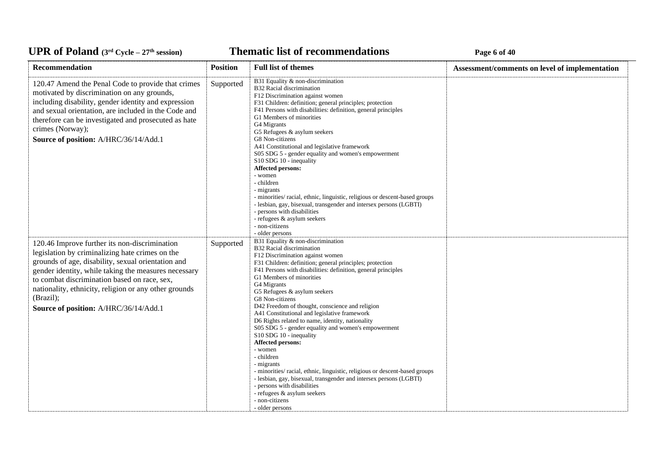### **Thematic list of recommendations Page 6** of 40

| Recommendation                                                                                                                                                                                                                                                                                                                                                                | <b>Position</b> | <b>Full list of themes</b>                                                                                                                                                                                                                                                                                                                                                                                                                                                                                                                                                                                                                                                                                                                                                                                                                                                                | Assessment/comments on level of implementation |
|-------------------------------------------------------------------------------------------------------------------------------------------------------------------------------------------------------------------------------------------------------------------------------------------------------------------------------------------------------------------------------|-----------------|-------------------------------------------------------------------------------------------------------------------------------------------------------------------------------------------------------------------------------------------------------------------------------------------------------------------------------------------------------------------------------------------------------------------------------------------------------------------------------------------------------------------------------------------------------------------------------------------------------------------------------------------------------------------------------------------------------------------------------------------------------------------------------------------------------------------------------------------------------------------------------------------|------------------------------------------------|
| 120.47 Amend the Penal Code to provide that crimes<br>motivated by discrimination on any grounds,<br>including disability, gender identity and expression<br>and sexual orientation, are included in the Code and<br>therefore can be investigated and prosecuted as hate<br>crimes (Norway);<br>Source of position: A/HRC/36/14/Add.1                                        | Supported       | B31 Equality & non-discrimination<br>B32 Racial discrimination<br>F12 Discrimination against women<br>F31 Children: definition; general principles; protection<br>F41 Persons with disabilities: definition, general principles<br>G1 Members of minorities<br>G4 Migrants<br>G5 Refugees & asylum seekers<br>G8 Non-citizens<br>A41 Constitutional and legislative framework<br>S05 SDG 5 - gender equality and women's empowerment<br>S10 SDG 10 - inequality<br>Affected persons:<br>- women<br>- children<br>- migrants<br>- minorities/racial, ethnic, linguistic, religious or descent-based groups<br>- lesbian, gay, bisexual, transgender and intersex persons (LGBTI)<br>- persons with disabilities<br>- refugees & asylum seekers<br>- non-citizens<br>- older persons                                                                                                        |                                                |
| 120.46 Improve further its non-discrimination<br>legislation by criminalizing hate crimes on the<br>grounds of age, disability, sexual orientation and<br>gender identity, while taking the measures necessary<br>to combat discrimination based on race, sex,<br>nationality, ethnicity, religion or any other grounds<br>(Brazil);<br>Source of position: A/HRC/36/14/Add.1 | Supported       | B31 Equality & non-discrimination<br>B32 Racial discrimination<br>F12 Discrimination against women<br>F31 Children: definition; general principles; protection<br>F41 Persons with disabilities: definition, general principles<br>G1 Members of minorities<br>G4 Migrants<br>G5 Refugees & asylum seekers<br>G8 Non-citizens<br>D42 Freedom of thought, conscience and religion<br>A41 Constitutional and legislative framework<br>D6 Rights related to name, identity, nationality<br>S05 SDG 5 - gender equality and women's empowerment<br>S10 SDG 10 - inequality<br>Affected persons:<br>- women<br>- children<br>- migrants<br>- minorities/racial, ethnic, linguistic, religious or descent-based groups<br>- lesbian, gay, bisexual, transgender and intersex persons (LGBTI)<br>- persons with disabilities<br>- refugees & asylum seekers<br>- non-citizens<br>- older persons |                                                |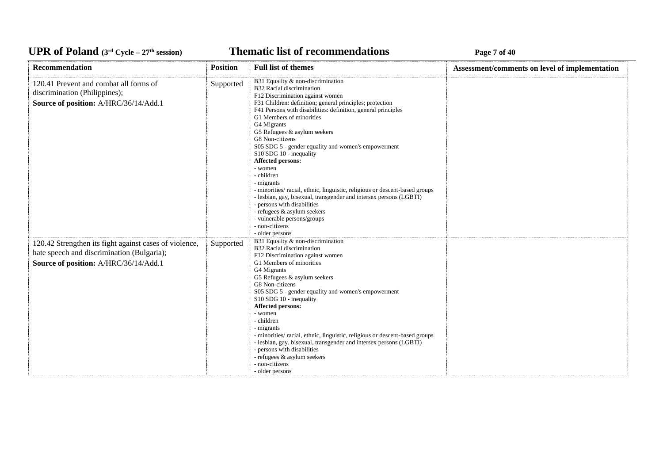### **Thematic list of recommendations Page 7** of 40

| <b>Recommendation</b>                                                                                                                         | <b>Position</b> | <b>Full list of themes</b>                                                                                                                                                                                                                                                                                                                                                                                                                                                                                                                                                                                                                                                                                                                                         | Assessment/comments on level of implementation |  |
|-----------------------------------------------------------------------------------------------------------------------------------------------|-----------------|--------------------------------------------------------------------------------------------------------------------------------------------------------------------------------------------------------------------------------------------------------------------------------------------------------------------------------------------------------------------------------------------------------------------------------------------------------------------------------------------------------------------------------------------------------------------------------------------------------------------------------------------------------------------------------------------------------------------------------------------------------------------|------------------------------------------------|--|
| 120.41 Prevent and combat all forms of<br>discrimination (Philippines);<br>Source of position: A/HRC/36/14/Add.1                              | Supported       | B31 Equality & non-discrimination<br>B32 Racial discrimination<br>F12 Discrimination against women<br>F31 Children: definition; general principles; protection<br>F41 Persons with disabilities: definition, general principles<br>G1 Members of minorities<br>G4 Migrants<br>G5 Refugees & asylum seekers<br>G8 Non-citizens<br>S05 SDG 5 - gender equality and women's empowerment<br>S10 SDG 10 - inequality<br>Affected persons:<br>- women<br>- children<br>- migrants<br>- minorities/ racial, ethnic, linguistic, religious or descent-based groups<br>- lesbian, gay, bisexual, transgender and intersex persons (LGBTI)<br>- persons with disabilities<br>- refugees & asylum seekers<br>- vulnerable persons/groups<br>- non-citizens<br>- older persons |                                                |  |
| 120.42 Strengthen its fight against cases of violence,<br>hate speech and discrimination (Bulgaria);<br>Source of position: A/HRC/36/14/Add.1 | Supported       | B31 Equality & non-discrimination<br>B32 Racial discrimination<br>F12 Discrimination against women<br>G1 Members of minorities<br>G4 Migrants<br>G5 Refugees & asylum seekers<br>G8 Non-citizens<br>S05 SDG 5 - gender equality and women's empowerment<br>S10 SDG 10 - inequality<br>Affected persons:<br>- women<br>- children<br>- migrants<br>- minorities/ racial, ethnic, linguistic, religious or descent-based groups<br>- lesbian, gay, bisexual, transgender and intersex persons (LGBTI)<br>- persons with disabilities<br>- refugees & asylum seekers<br>- non-citizens<br>- older persons                                                                                                                                                             |                                                |  |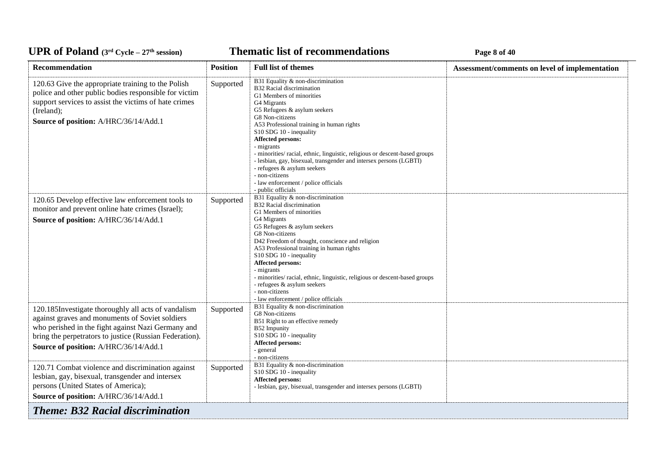*C***ELE <b>EXECUTE: Page 8** of 40

| <b>Recommendation</b>                                                                                                                                                                                                                                            | <b>Position</b> | <b>Full list of themes</b>                                                                                                                                                                                                                                                                                                                                                                                                                                                                                                                         | Assessment/comments on level of implementation |
|------------------------------------------------------------------------------------------------------------------------------------------------------------------------------------------------------------------------------------------------------------------|-----------------|----------------------------------------------------------------------------------------------------------------------------------------------------------------------------------------------------------------------------------------------------------------------------------------------------------------------------------------------------------------------------------------------------------------------------------------------------------------------------------------------------------------------------------------------------|------------------------------------------------|
| 120.63 Give the appropriate training to the Polish<br>police and other public bodies responsible for victim<br>support services to assist the victims of hate crimes<br>(Ireland);<br>Source of position: A/HRC/36/14/Add.1                                      | Supported       | B31 Equality & non-discrimination<br>B32 Racial discrimination<br>G1 Members of minorities<br>G4 Migrants<br>G5 Refugees & asylum seekers<br>G8 Non-citizens<br>A53 Professional training in human rights<br>S10 SDG 10 - inequality<br><b>Affected persons:</b><br>- migrants<br>- minorities/ racial, ethnic, linguistic, religious or descent-based groups<br>- lesbian, gay, bisexual, transgender and intersex persons (LGBTI)<br>- refugees & asylum seekers<br>- non-citizens<br>- law enforcement / police officials<br>- public officials |                                                |
| 120.65 Develop effective law enforcement tools to<br>monitor and prevent online hate crimes (Israel);<br>Source of position: A/HRC/36/14/Add.1                                                                                                                   | Supported       | B31 Equality & non-discrimination<br>B32 Racial discrimination<br>G1 Members of minorities<br>G4 Migrants<br>G5 Refugees & asylum seekers<br>G8 Non-citizens<br>D42 Freedom of thought, conscience and religion<br>A53 Professional training in human rights<br>S10 SDG 10 - inequality<br><b>Affected persons:</b><br>- migrants<br>- minorities/racial, ethnic, linguistic, religious or descent-based groups<br>- refugees & asylum seekers<br>- non-citizens<br>- law enforcement / police officials                                           |                                                |
| 120.185Investigate thoroughly all acts of vandalism<br>against graves and monuments of Soviet soldiers<br>who perished in the fight against Nazi Germany and<br>bring the perpetrators to justice (Russian Federation).<br>Source of position: A/HRC/36/14/Add.1 | Supported       | B31 Equality & non-discrimination<br>G8 Non-citizens<br>B51 Right to an effective remedy<br>B52 Impunity<br>S10 SDG 10 - inequality<br><b>Affected persons:</b><br>- general<br>- non-citizens                                                                                                                                                                                                                                                                                                                                                     |                                                |
| 120.71 Combat violence and discrimination against<br>lesbian, gay, bisexual, transgender and intersex<br>persons (United States of America);<br>Source of position: A/HRC/36/14/Add.1                                                                            | Supported       | B31 Equality & non-discrimination<br>S10 SDG 10 - inequality<br><b>Affected persons:</b><br>- lesbian, gay, bisexual, transgender and intersex persons (LGBTI)                                                                                                                                                                                                                                                                                                                                                                                     |                                                |
| <b>Theme: B32 Racial discrimination</b>                                                                                                                                                                                                                          |                 |                                                                                                                                                                                                                                                                                                                                                                                                                                                                                                                                                    |                                                |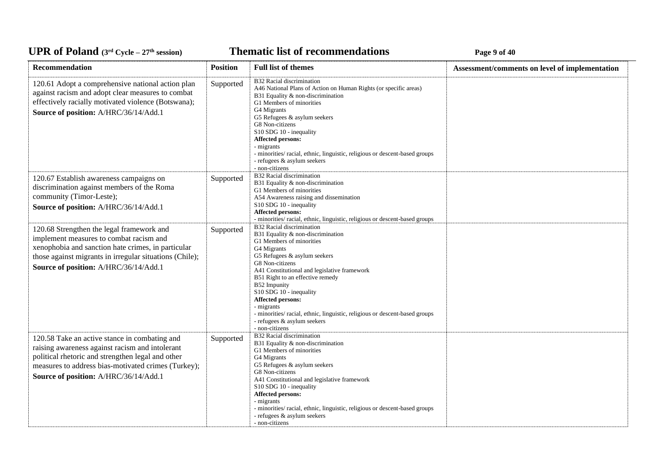*C***ELE <b>EXECUTE: CYCLE 27E** *C***ELE <b>EXECUTE: Page 9** of 40

| Recommendation                                                                                                                                                                                                                                        | <b>Position</b> | <b>Full list of themes</b>                                                                                                                                                                                                                                                                                                                                                                                                                                     | Assessment/comments on level of implementation |
|-------------------------------------------------------------------------------------------------------------------------------------------------------------------------------------------------------------------------------------------------------|-----------------|----------------------------------------------------------------------------------------------------------------------------------------------------------------------------------------------------------------------------------------------------------------------------------------------------------------------------------------------------------------------------------------------------------------------------------------------------------------|------------------------------------------------|
| 120.61 Adopt a comprehensive national action plan<br>against racism and adopt clear measures to combat<br>effectively racially motivated violence (Botswana);<br>Source of position: A/HRC/36/14/Add.1                                                | Supported       | B32 Racial discrimination<br>A46 National Plans of Action on Human Rights (or specific areas)<br>B31 Equality & non-discrimination<br>G1 Members of minorities<br>G4 Migrants<br>G5 Refugees & asylum seekers<br>G8 Non-citizens<br>S10 SDG 10 - inequality<br>Affected persons:<br>- migrants<br>- minorities/racial, ethnic, linguistic, religious or descent-based groups<br>- refugees & asylum seekers<br>- non-citizens                                  |                                                |
| 120.67 Establish awareness campaigns on<br>discrimination against members of the Roma<br>community (Timor-Leste);<br>Source of position: A/HRC/36/14/Add.1                                                                                            | Supported       | B32 Racial discrimination<br>B31 Equality & non-discrimination<br>G1 Members of minorities<br>A54 Awareness raising and dissemination<br>S10 SDG 10 - inequality<br>Affected persons:<br>- minorities/ racial, ethnic, linguistic, religious or descent-based groups                                                                                                                                                                                           |                                                |
| 120.68 Strengthen the legal framework and<br>implement measures to combat racism and<br>xenophobia and sanction hate crimes, in particular<br>those against migrants in irregular situations (Chile);<br>Source of position: A/HRC/36/14/Add.1        | Supported       | B32 Racial discrimination<br>B31 Equality & non-discrimination<br>G1 Members of minorities<br>G4 Migrants<br>G5 Refugees & asylum seekers<br>G8 Non-citizens<br>A41 Constitutional and legislative framework<br>B51 Right to an effective remedy<br>B52 Impunity<br>S10 SDG 10 - inequality<br>Affected persons:<br>- migrants<br>- minorities/ racial, ethnic, linguistic, religious or descent-based groups<br>- refugees & asylum seekers<br>- non-citizens |                                                |
| 120.58 Take an active stance in combating and<br>raising awareness against racism and intolerant<br>political rhetoric and strengthen legal and other<br>measures to address bias-motivated crimes (Turkey);<br>Source of position: A/HRC/36/14/Add.1 | Supported       | B32 Racial discrimination<br>B31 Equality & non-discrimination<br>G1 Members of minorities<br>G4 Migrants<br>G5 Refugees & asylum seekers<br>G8 Non-citizens<br>A41 Constitutional and legislative framework<br>S10 SDG 10 - inequality<br>Affected persons:<br>- migrants<br>- minorities/ racial, ethnic, linguistic, religious or descent-based groups<br>- refugees & asylum seekers<br>- non-citizens                                                     |                                                |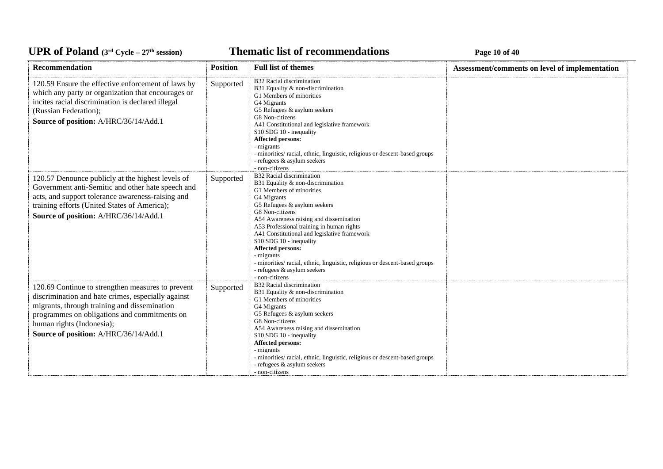**Thematic list of recommendations Page 10** of 40

| <b>Recommendation</b>                                                                                                                                                                                                                                                         | <b>Position</b> | <b>Full list of themes</b>                                                                                                                                                                                                                                                                                                                                                                                                                                                                                | Assessment/comments on level of implementation |  |
|-------------------------------------------------------------------------------------------------------------------------------------------------------------------------------------------------------------------------------------------------------------------------------|-----------------|-----------------------------------------------------------------------------------------------------------------------------------------------------------------------------------------------------------------------------------------------------------------------------------------------------------------------------------------------------------------------------------------------------------------------------------------------------------------------------------------------------------|------------------------------------------------|--|
| 120.59 Ensure the effective enforcement of laws by<br>which any party or organization that encourages or<br>incites racial discrimination is declared illegal<br>(Russian Federation);<br>Source of position: A/HRC/36/14/Add.1                                               | Supported       | B32 Racial discrimination<br>B31 Equality & non-discrimination<br>G1 Members of minorities<br>G4 Migrants<br>G5 Refugees & asylum seekers<br>G8 Non-citizens<br>A41 Constitutional and legislative framework<br>S10 SDG 10 - inequality<br><b>Affected persons:</b><br>- migrants<br>- minorities/ racial, ethnic, linguistic, religious or descent-based groups<br>- refugees & asylum seekers<br>- non-citizens                                                                                         |                                                |  |
| 120.57 Denounce publicly at the highest levels of<br>Government anti-Semitic and other hate speech and<br>acts, and support tolerance awareness-raising and<br>training efforts (United States of America);<br>Source of position: A/HRC/36/14/Add.1                          | Supported       | B32 Racial discrimination<br>B31 Equality & non-discrimination<br>G1 Members of minorities<br>G4 Migrants<br>G5 Refugees & asylum seekers<br>G8 Non-citizens<br>A54 Awareness raising and dissemination<br>A53 Professional training in human rights<br>A41 Constitutional and legislative framework<br>S10 SDG 10 - inequality<br><b>Affected persons:</b><br>- migrants<br>- minorities/ racial, ethnic, linguistic, religious or descent-based groups<br>- refugees & asylum seekers<br>- non-citizens |                                                |  |
| 120.69 Continue to strengthen measures to prevent<br>discrimination and hate crimes, especially against<br>migrants, through training and dissemination<br>programmes on obligations and commitments on<br>human rights (Indonesia);<br>Source of position: A/HRC/36/14/Add.1 | Supported       | B32 Racial discrimination<br>B31 Equality & non-discrimination<br>G1 Members of minorities<br>G4 Migrants<br>G5 Refugees & asylum seekers<br>G8 Non-citizens<br>A54 Awareness raising and dissemination<br>S10 SDG 10 - inequality<br>Affected persons:<br>- migrants<br>- minorities/ racial, ethnic, linguistic, religious or descent-based groups<br>- refugees & asylum seekers<br>- non-citizens                                                                                                     |                                                |  |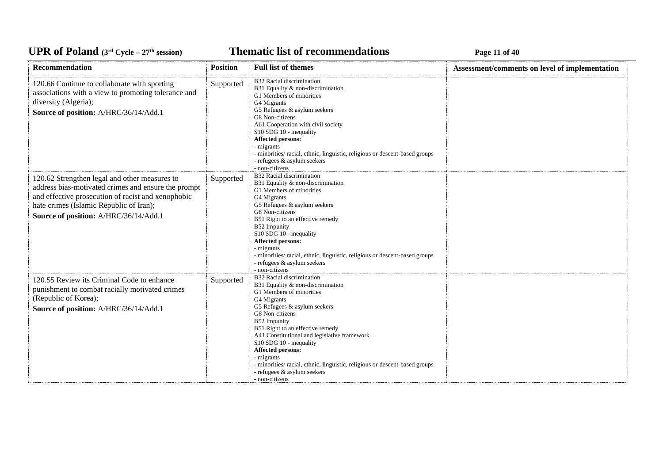**Thematic list of recommendations Page 11 of 40** 

| Recommendation                                                                                                                                                                                                                                 | <b>Position</b> | <b>Full list of themes</b>                                                                                                                                                                                                                                                                                                                                                                                                                                            | Assessment/comments on level of implementation |
|------------------------------------------------------------------------------------------------------------------------------------------------------------------------------------------------------------------------------------------------|-----------------|-----------------------------------------------------------------------------------------------------------------------------------------------------------------------------------------------------------------------------------------------------------------------------------------------------------------------------------------------------------------------------------------------------------------------------------------------------------------------|------------------------------------------------|
| 120.66 Continue to collaborate with sporting<br>associations with a view to promoting tolerance and<br>diversity (Algeria);<br>Source of position: A/HRC/36/14/Add.1                                                                           | Supported       | <b>B32 Racial discrimination</b><br>B31 Equality & non-discrimination<br>G1 Members of minorities<br>G4 Migrants<br>G5 Refugees & asylum seekers<br>G8 Non-citizens<br>A61 Cooperation with civil society<br>S10 SDG 10 - inequality<br>Affected persons:<br>- migrants<br>- minorities/ racial, ethnic, linguistic, religious or descent-based groups<br>- refugees & asylum seekers<br>- non-citizens                                                               |                                                |
| 120.62 Strengthen legal and other measures to<br>address bias-motivated crimes and ensure the prompt<br>and effective prosecution of racist and xenophobic<br>hate crimes (Islamic Republic of Iran);<br>Source of position: A/HRC/36/14/Add.1 | Supported       | <b>B32 Racial discrimination</b><br>B31 Equality & non-discrimination<br>G1 Members of minorities<br>G4 Migrants<br>G5 Refugees & asylum seekers<br>G8 Non-citizens<br>B51 Right to an effective remedy<br>B52 Impunity<br>S10 SDG 10 - inequality<br>Affected persons:<br>- migrants<br>- minorities/ racial, ethnic, linguistic, religious or descent-based groups<br>- refugees & asylum seekers<br>- non-citizens                                                 |                                                |
| 120.55 Review its Criminal Code to enhance<br>punishment to combat racially motivated crimes<br>(Republic of Korea);<br>Source of position: A/HRC/36/14/Add.1                                                                                  | Supported       | <b>B32 Racial discrimination</b><br>B31 Equality & non-discrimination<br>G1 Members of minorities<br>G4 Migrants<br>G5 Refugees & asylum seekers<br>G8 Non-citizens<br>B52 Impunity<br>B51 Right to an effective remedy<br>A41 Constitutional and legislative framework<br>S10 SDG 10 - inequality<br>Affected persons:<br>- migrants<br>- minorities/ racial, ethnic, linguistic, religious or descent-based groups<br>- refugees & asylum seekers<br>- non-citizens |                                                |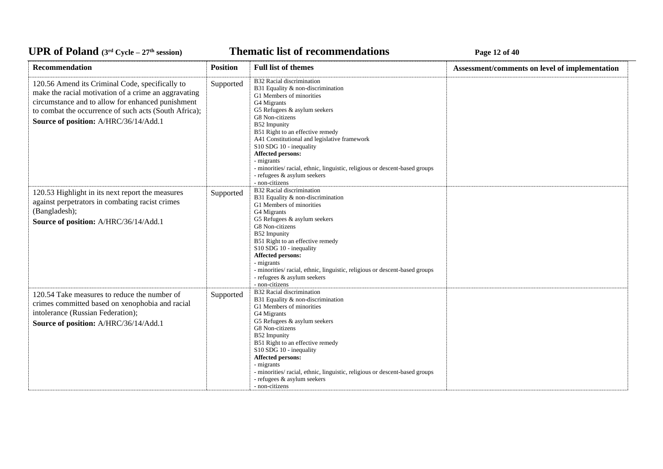**Thematic list of recommendations Page 12** of 40

| Recommendation                                                                                                                                                                                                                                                 | <b>Position</b> | <b>Full list of themes</b>                                                                                                                                                                                                                                                                                                                                                                                                                                     | Assessment/comments on level of implementation |
|----------------------------------------------------------------------------------------------------------------------------------------------------------------------------------------------------------------------------------------------------------------|-----------------|----------------------------------------------------------------------------------------------------------------------------------------------------------------------------------------------------------------------------------------------------------------------------------------------------------------------------------------------------------------------------------------------------------------------------------------------------------------|------------------------------------------------|
| 120.56 Amend its Criminal Code, specifically to<br>make the racial motivation of a crime an aggravating<br>circumstance and to allow for enhanced punishment<br>to combat the occurrence of such acts (South Africa);<br>Source of position: A/HRC/36/14/Add.1 | Supported       | B32 Racial discrimination<br>B31 Equality & non-discrimination<br>G1 Members of minorities<br>G4 Migrants<br>G5 Refugees & asylum seekers<br>G8 Non-citizens<br>B52 Impunity<br>B51 Right to an effective remedy<br>A41 Constitutional and legislative framework<br>S10 SDG 10 - inequality<br>Affected persons:<br>- migrants<br>- minorities/ racial, ethnic, linguistic, religious or descent-based groups<br>- refugees & asylum seekers<br>- non-citizens |                                                |
| 120.53 Highlight in its next report the measures<br>against perpetrators in combating racist crimes<br>(Bangladesh);<br>Source of position: A/HRC/36/14/Add.1                                                                                                  | Supported       | B32 Racial discrimination<br>B31 Equality & non-discrimination<br>G1 Members of minorities<br>G4 Migrants<br>G5 Refugees & asylum seekers<br>G8 Non-citizens<br>B52 Impunity<br>B51 Right to an effective remedy<br>S10 SDG 10 - inequality<br><b>Affected persons:</b><br>- migrants<br>- minorities/ racial, ethnic, linguistic, religious or descent-based groups<br>- refugees & asylum seekers<br>- non-citizens                                          |                                                |
| 120.54 Take measures to reduce the number of<br>crimes committed based on xenophobia and racial<br>intolerance (Russian Federation);<br>Source of position: A/HRC/36/14/Add.1                                                                                  | Supported       | B32 Racial discrimination<br>B31 Equality & non-discrimination<br>G1 Members of minorities<br>G4 Migrants<br>G5 Refugees & asylum seekers<br>G8 Non-citizens<br>B52 Impunity<br>B51 Right to an effective remedy<br>S10 SDG 10 - inequality<br>Affected persons:<br>- migrants<br>- minorities/ racial, ethnic, linguistic, religious or descent-based groups<br>- refugees & asylum seekers<br>- non-citizens                                                 |                                                |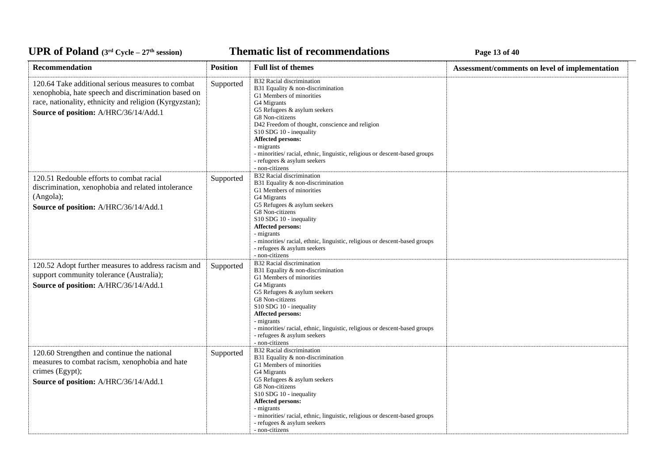*C***ELE <b>EXECUTE: CYCLE 27 EXECUTE: Page 13** of 40

| <b>Recommendation</b>                                                                                                                                                                                        | <b>Position</b> | <b>Full list of themes</b>                                                                                                                                                                                                                                                                                                                                                                                           | Assessment/comments on level of implementation |
|--------------------------------------------------------------------------------------------------------------------------------------------------------------------------------------------------------------|-----------------|----------------------------------------------------------------------------------------------------------------------------------------------------------------------------------------------------------------------------------------------------------------------------------------------------------------------------------------------------------------------------------------------------------------------|------------------------------------------------|
| 120.64 Take additional serious measures to combat<br>xenophobia, hate speech and discrimination based on<br>race, nationality, ethnicity and religion (Kyrgyzstan);<br>Source of position: A/HRC/36/14/Add.1 | Supported       | B32 Racial discrimination<br>B31 Equality & non-discrimination<br>G1 Members of minorities<br>G4 Migrants<br>G5 Refugees & asylum seekers<br>G8 Non-citizens<br>D42 Freedom of thought, conscience and religion<br>S10 SDG 10 - inequality<br><b>Affected persons:</b><br>- migrants<br>- minorities/ racial, ethnic, linguistic, religious or descent-based groups<br>- refugees & asylum seekers<br>- non-citizens |                                                |
| 120.51 Redouble efforts to combat racial<br>discrimination, xenophobia and related intolerance<br>(Angola);<br>Source of position: A/HRC/36/14/Add.1                                                         | Supported       | B32 Racial discrimination<br>B31 Equality & non-discrimination<br>G1 Members of minorities<br>G4 Migrants<br>G5 Refugees & asylum seekers<br>G8 Non-citizens<br>S10 SDG 10 - inequality<br>Affected persons:<br>- migrants<br>- minorities/ racial, ethnic, linguistic, religious or descent-based groups<br>- refugees & asylum seekers<br>- non-citizens                                                           |                                                |
| 120.52 Adopt further measures to address racism and<br>support community tolerance (Australia);<br>Source of position: A/HRC/36/14/Add.1                                                                     | Supported       | B32 Racial discrimination<br>B31 Equality & non-discrimination<br>G1 Members of minorities<br>G4 Migrants<br>G5 Refugees & asylum seekers<br>G8 Non-citizens<br>S10 SDG 10 - inequality<br>Affected persons:<br>- migrants<br>- minorities/ racial, ethnic, linguistic, religious or descent-based groups<br>- refugees & asylum seekers<br>- non-citizens                                                           |                                                |
| 120.60 Strengthen and continue the national<br>measures to combat racism, xenophobia and hate<br>crimes (Egypt);<br>Source of position: A/HRC/36/14/Add.1                                                    | Supported       | B32 Racial discrimination<br>B31 Equality & non-discrimination<br>G1 Members of minorities<br>G4 Migrants<br>G5 Refugees & asylum seekers<br>G8 Non-citizens<br>S10 SDG 10 - inequality<br>Affected persons:<br>- migrants<br>- minorities/ racial, ethnic, linguistic, religious or descent-based groups<br>- refugees & asylum seekers<br>- non-citizens                                                           |                                                |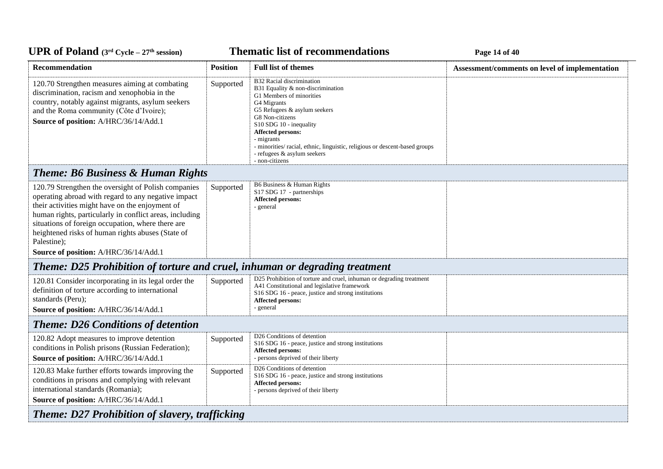**Thematic list of recommendations Page 14** of 40

| <b>Recommendation</b>                                                                                                                                                                                                                                                                                                                                                                      | <b>Position</b> | <b>Full list of themes</b>                                                                                                                                                                                                                                                                                                                                       | Assessment/comments on level of implementation |
|--------------------------------------------------------------------------------------------------------------------------------------------------------------------------------------------------------------------------------------------------------------------------------------------------------------------------------------------------------------------------------------------|-----------------|------------------------------------------------------------------------------------------------------------------------------------------------------------------------------------------------------------------------------------------------------------------------------------------------------------------------------------------------------------------|------------------------------------------------|
| 120.70 Strengthen measures aiming at combating<br>discrimination, racism and xenophobia in the<br>country, notably against migrants, asylum seekers<br>and the Roma community (Côte d'Ivoire);<br>Source of position: A/HRC/36/14/Add.1                                                                                                                                                    | Supported       | B32 Racial discrimination<br>B31 Equality & non-discrimination<br>G1 Members of minorities<br>G4 Migrants<br>G5 Refugees & asylum seekers<br>G8 Non-citizens<br>S10 SDG 10 - inequality<br><b>Affected persons:</b><br>- migrants<br>- minorities/racial, ethnic, linguistic, religious or descent-based groups<br>- refugees & asylum seekers<br>- non-citizens |                                                |
| <b>Theme: B6 Business &amp; Human Rights</b>                                                                                                                                                                                                                                                                                                                                               |                 |                                                                                                                                                                                                                                                                                                                                                                  |                                                |
| 120.79 Strengthen the oversight of Polish companies<br>operating abroad with regard to any negative impact<br>their activities might have on the enjoyment of<br>human rights, particularly in conflict areas, including<br>situations of foreign occupation, where there are<br>heightened risks of human rights abuses (State of<br>Palestine);<br>Source of position: A/HRC/36/14/Add.1 | Supported       | B6 Business & Human Rights<br>S17 SDG 17 - partnerships<br><b>Affected persons:</b><br>- general                                                                                                                                                                                                                                                                 |                                                |
| Theme: D25 Prohibition of torture and cruel, inhuman or degrading treatment                                                                                                                                                                                                                                                                                                                |                 |                                                                                                                                                                                                                                                                                                                                                                  |                                                |
| 120.81 Consider incorporating in its legal order the<br>definition of torture according to international<br>standards (Peru);<br>Source of position: A/HRC/36/14/Add.1                                                                                                                                                                                                                     | Supported       | D25 Prohibition of torture and cruel, inhuman or degrading treatment<br>A41 Constitutional and legislative framework<br>S16 SDG 16 - peace, justice and strong institutions<br><b>Affected persons:</b><br>- general                                                                                                                                             |                                                |
| <b>Theme: D26 Conditions of detention</b>                                                                                                                                                                                                                                                                                                                                                  |                 |                                                                                                                                                                                                                                                                                                                                                                  |                                                |
| 120.82 Adopt measures to improve detention<br>conditions in Polish prisons (Russian Federation);<br>Source of position: A/HRC/36/14/Add.1                                                                                                                                                                                                                                                  | Supported       | D <sub>26</sub> Conditions of detention<br>S <sub>16</sub> SDG <sub>16</sub> - peace, justice and strong institutions<br><b>Affected persons:</b><br>- persons deprived of their liberty                                                                                                                                                                         |                                                |
| 120.83 Make further efforts towards improving the<br>conditions in prisons and complying with relevant<br>international standards (Romania);<br>Source of position: A/HRC/36/14/Add.1                                                                                                                                                                                                      | Supported       | D26 Conditions of detention<br>S16 SDG 16 - peace, justice and strong institutions<br><b>Affected persons:</b><br>- persons deprived of their liberty                                                                                                                                                                                                            |                                                |
| <b>Theme: D27 Prohibition of slavery, trafficking</b>                                                                                                                                                                                                                                                                                                                                      |                 |                                                                                                                                                                                                                                                                                                                                                                  |                                                |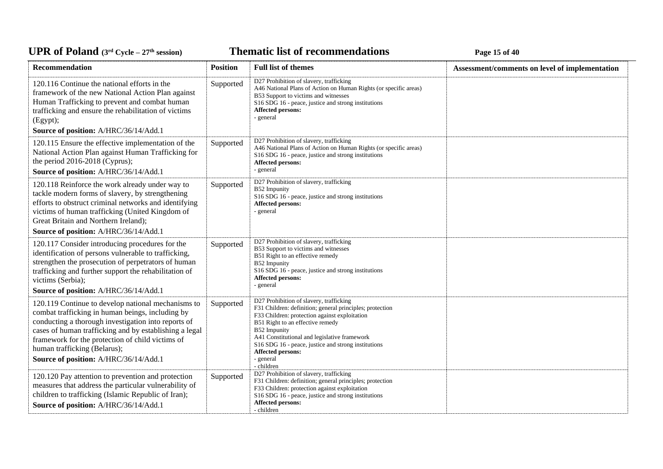**Thematic list of recommendations Page 15** of 40

| Recommendation                                                                                                                                                                                                                                                                                                                                       | <b>Position</b> | <b>Full list of themes</b>                                                                                                                                                                                                                                                                                                                                             | Assessment/comments on level of implementation |
|------------------------------------------------------------------------------------------------------------------------------------------------------------------------------------------------------------------------------------------------------------------------------------------------------------------------------------------------------|-----------------|------------------------------------------------------------------------------------------------------------------------------------------------------------------------------------------------------------------------------------------------------------------------------------------------------------------------------------------------------------------------|------------------------------------------------|
| 120.116 Continue the national efforts in the<br>framework of the new National Action Plan against<br>Human Trafficking to prevent and combat human<br>trafficking and ensure the rehabilitation of victims<br>(Egypt);<br>Source of position: A/HRC/36/14/Add.1                                                                                      | Supported       | D27 Prohibition of slavery, trafficking<br>A46 National Plans of Action on Human Rights (or specific areas)<br>B53 Support to victims and witnesses<br>S16 SDG 16 - peace, justice and strong institutions<br>Affected persons:<br>- general                                                                                                                           |                                                |
| 120.115 Ensure the effective implementation of the<br>National Action Plan against Human Trafficking for<br>the period 2016-2018 (Cyprus);<br>Source of position: A/HRC/36/14/Add.1                                                                                                                                                                  | Supported       | D27 Prohibition of slavery, trafficking<br>A46 National Plans of Action on Human Rights (or specific areas)<br>S <sub>16</sub> SDG <sub>16</sub> - peace, justice and strong institutions<br>Affected persons:<br>- general                                                                                                                                            |                                                |
| 120.118 Reinforce the work already under way to<br>tackle modern forms of slavery, by strengthening<br>efforts to obstruct criminal networks and identifying<br>victims of human trafficking (United Kingdom of<br>Great Britain and Northern Ireland);                                                                                              | Supported       | D27 Prohibition of slavery, trafficking<br>B52 Impunity<br>S16 SDG 16 - peace, justice and strong institutions<br>Affected persons:<br>- general                                                                                                                                                                                                                       |                                                |
| Source of position: A/HRC/36/14/Add.1                                                                                                                                                                                                                                                                                                                |                 |                                                                                                                                                                                                                                                                                                                                                                        |                                                |
| 120.117 Consider introducing procedures for the<br>identification of persons vulnerable to trafficking,<br>strengthen the prosecution of perpetrators of human<br>trafficking and further support the rehabilitation of<br>victims (Serbia);                                                                                                         | Supported       | D27 Prohibition of slavery, trafficking<br>B53 Support to victims and witnesses<br>B51 Right to an effective remedy<br>B52 Impunity<br>S16 SDG 16 - peace, justice and strong institutions<br><b>Affected persons:</b><br>- general                                                                                                                                    |                                                |
| Source of position: A/HRC/36/14/Add.1                                                                                                                                                                                                                                                                                                                |                 |                                                                                                                                                                                                                                                                                                                                                                        |                                                |
| 120.119 Continue to develop national mechanisms to<br>combat trafficking in human beings, including by<br>conducting a thorough investigation into reports of<br>cases of human trafficking and by establishing a legal<br>framework for the protection of child victims of<br>human trafficking (Belarus);<br>Source of position: A/HRC/36/14/Add.1 | Supported       | D27 Prohibition of slavery, trafficking<br>F31 Children: definition; general principles; protection<br>F33 Children: protection against exploitation<br>B51 Right to an effective remedy<br>B52 Impunity<br>A41 Constitutional and legislative framework<br>S16 SDG 16 - peace, justice and strong institutions<br><b>Affected persons:</b><br>- general<br>- children |                                                |
| 120.120 Pay attention to prevention and protection<br>measures that address the particular vulnerability of<br>children to trafficking (Islamic Republic of Iran);<br>Source of position: A/HRC/36/14/Add.1                                                                                                                                          | Supported       | D27 Prohibition of slavery, trafficking<br>F31 Children: definition; general principles; protection<br>F33 Children: protection against exploitation<br>S16 SDG 16 - peace, justice and strong institutions<br>Affected persons:<br>- children                                                                                                                         |                                                |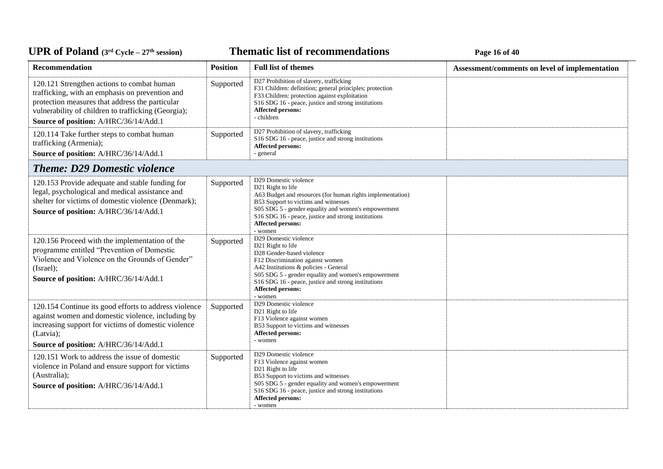**Thematic list of recommendations Page 16** of 40

| Recommendation                                                                                                                                                                                                                                   | <b>Position</b> | <b>Full list of themes</b>                                                                                                                                                                                                                                                                                                | Assessment/comments on level of implementation |
|--------------------------------------------------------------------------------------------------------------------------------------------------------------------------------------------------------------------------------------------------|-----------------|---------------------------------------------------------------------------------------------------------------------------------------------------------------------------------------------------------------------------------------------------------------------------------------------------------------------------|------------------------------------------------|
| 120.121 Strengthen actions to combat human<br>trafficking, with an emphasis on prevention and<br>protection measures that address the particular<br>vulnerability of children to trafficking (Georgia);<br>Source of position: A/HRC/36/14/Add.1 | Supported       | D27 Prohibition of slavery, trafficking<br>F31 Children: definition; general principles; protection<br>F33 Children: protection against exploitation<br>S16 SDG 16 - peace, justice and strong institutions<br>Affected persons:<br>- children                                                                            |                                                |
| 120.114 Take further steps to combat human<br>trafficking (Armenia);<br>Source of position: A/HRC/36/14/Add.1                                                                                                                                    | Supported       | D27 Prohibition of slavery, trafficking<br>S16 SDG 16 - peace, justice and strong institutions<br>Affected persons:<br>- general                                                                                                                                                                                          |                                                |
| <b>Theme: D29 Domestic violence</b>                                                                                                                                                                                                              |                 |                                                                                                                                                                                                                                                                                                                           |                                                |
| 120.153 Provide adequate and stable funding for<br>legal, psychological and medical assistance and<br>shelter for victims of domestic violence (Denmark);<br>Source of position: A/HRC/36/14/Add.1                                               | Supported       | D29 Domestic violence<br>D21 Right to life<br>A63 Budget and resources (for human rights implementation)<br>B53 Support to victims and witnesses<br>S05 SDG 5 - gender equality and women's empowerment<br>S16 SDG 16 - peace, justice and strong institutions<br><b>Affected persons:</b><br>- women                     |                                                |
| 120.156 Proceed with the implementation of the<br>programme entitled "Prevention of Domestic<br>Violence and Violence on the Grounds of Gender"<br>(Israel);<br>Source of position: A/HRC/36/14/Add.1                                            | Supported       | D29 Domestic violence<br>D21 Right to life<br>D28 Gender-based violence<br>F12 Discrimination against women<br>A42 Institutions & policies - General<br>S05 SDG 5 - gender equality and women's empowerment<br>S <sub>16</sub> SDG <sub>16</sub> - peace, justice and strong institutions<br>Affected persons:<br>- women |                                                |
| 120.154 Continue its good efforts to address violence<br>against women and domestic violence, including by<br>increasing support for victims of domestic violence<br>(Latvia);<br>Source of position: A/HRC/36/14/Add.1                          | Supported       | D29 Domestic violence<br>D21 Right to life<br>F13 Violence against women<br>B53 Support to victims and witnesses<br><b>Affected persons:</b><br>- women                                                                                                                                                                   |                                                |
| 120.151 Work to address the issue of domestic<br>violence in Poland and ensure support for victims<br>(Australia);<br>Source of position: A/HRC/36/14/Add.1                                                                                      | Supported       | D29 Domestic violence<br>F13 Violence against women<br>D21 Right to life<br>B53 Support to victims and witnesses<br>S05 SDG 5 - gender equality and women's empowerment<br>S16 SDG 16 - peace, justice and strong institutions<br><b>Affected persons:</b><br>- women                                                     |                                                |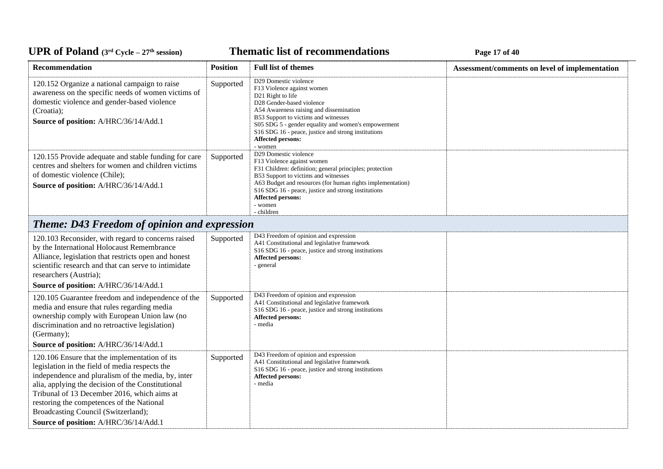**Thematic list of recommendations Page 17** of 40

| Recommendation                                                                                                                                                                                                                                                                                                                                                                         | <b>Position</b> | <b>Full list of themes</b>                                                                                                                                                                                                                                                                                                                         | Assessment/comments on level of implementation |
|----------------------------------------------------------------------------------------------------------------------------------------------------------------------------------------------------------------------------------------------------------------------------------------------------------------------------------------------------------------------------------------|-----------------|----------------------------------------------------------------------------------------------------------------------------------------------------------------------------------------------------------------------------------------------------------------------------------------------------------------------------------------------------|------------------------------------------------|
| 120.152 Organize a national campaign to raise<br>awareness on the specific needs of women victims of<br>domestic violence and gender-based violence<br>(Croatia);<br>Source of position: A/HRC/36/14/Add.1                                                                                                                                                                             | Supported       | D29 Domestic violence<br>F13 Violence against women<br>D <sub>21</sub> Right to life<br>D28 Gender-based violence<br>A54 Awareness raising and dissemination<br>B53 Support to victims and witnesses<br>S05 SDG 5 - gender equality and women's empowerment<br>S16 SDG 16 - peace, justice and strong institutions<br>Affected persons:<br>- women |                                                |
| 120.155 Provide adequate and stable funding for care<br>centres and shelters for women and children victims<br>of domestic violence (Chile);<br>Source of position: A/HRC/36/14/Add.1                                                                                                                                                                                                  | Supported       | D29 Domestic violence<br>F13 Violence against women<br>F31 Children: definition; general principles; protection<br>B53 Support to victims and witnesses<br>A63 Budget and resources (for human rights implementation)<br>S16 SDG 16 - peace, justice and strong institutions<br><b>Affected persons:</b><br>- women<br>- children                  |                                                |
| <b>Theme: D43 Freedom of opinion and expression</b>                                                                                                                                                                                                                                                                                                                                    |                 |                                                                                                                                                                                                                                                                                                                                                    |                                                |
| 120.103 Reconsider, with regard to concerns raised<br>by the International Holocaust Remembrance<br>Alliance, legislation that restricts open and honest<br>scientific research and that can serve to intimidate<br>researchers (Austria);<br>Source of position: A/HRC/36/14/Add.1                                                                                                    | Supported       | D43 Freedom of opinion and expression<br>A41 Constitutional and legislative framework<br>S16 SDG 16 - peace, justice and strong institutions<br><b>Affected persons:</b><br>- general                                                                                                                                                              |                                                |
| 120.105 Guarantee freedom and independence of the<br>media and ensure that rules regarding media<br>ownership comply with European Union law (no<br>discrimination and no retroactive legislation)<br>(Germany);<br>Source of position: A/HRC/36/14/Add.1                                                                                                                              | Supported       | D43 Freedom of opinion and expression<br>A41 Constitutional and legislative framework<br>S16 SDG 16 - peace, justice and strong institutions<br>Affected persons:<br>- media                                                                                                                                                                       |                                                |
| 120.106 Ensure that the implementation of its<br>legislation in the field of media respects the<br>independence and pluralism of the media, by, inter<br>alia, applying the decision of the Constitutional<br>Tribunal of 13 December 2016, which aims at<br>restoring the competences of the National<br>Broadcasting Council (Switzerland);<br>Source of position: A/HRC/36/14/Add.1 | Supported       | D43 Freedom of opinion and expression<br>A41 Constitutional and legislative framework<br>S16 SDG 16 - peace, justice and strong institutions<br>Affected persons:<br>- media                                                                                                                                                                       |                                                |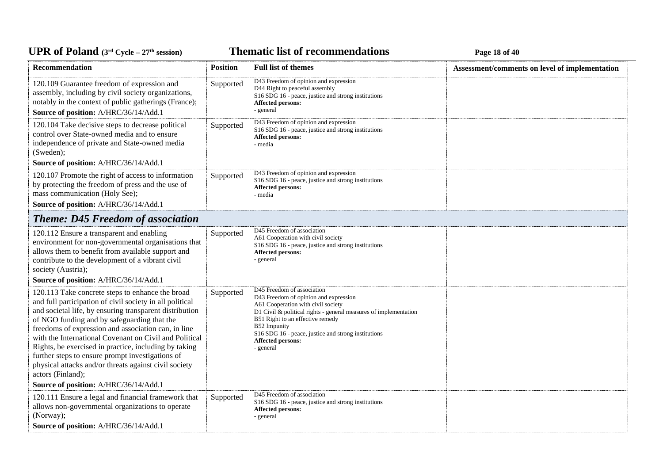**Thematic list of recommendations Page 18** of 40

| Recommendation                                                                                                                                                                                                                                                                                                                                                                                                                                                                                                                                                              | <b>Position</b> | <b>Full list of themes</b>                                                                                                                                                                                                                                                                                                 | Assessment/comments on level of implementation |
|-----------------------------------------------------------------------------------------------------------------------------------------------------------------------------------------------------------------------------------------------------------------------------------------------------------------------------------------------------------------------------------------------------------------------------------------------------------------------------------------------------------------------------------------------------------------------------|-----------------|----------------------------------------------------------------------------------------------------------------------------------------------------------------------------------------------------------------------------------------------------------------------------------------------------------------------------|------------------------------------------------|
| 120.109 Guarantee freedom of expression and<br>assembly, including by civil society organizations,<br>notably in the context of public gatherings (France);<br>Source of position: A/HRC/36/14/Add.1                                                                                                                                                                                                                                                                                                                                                                        | Supported       | D43 Freedom of opinion and expression<br>D44 Right to peaceful assembly<br>S16 SDG 16 - peace, justice and strong institutions<br>Affected persons:<br>- general                                                                                                                                                           |                                                |
| 120.104 Take decisive steps to decrease political<br>control over State-owned media and to ensure<br>independence of private and State-owned media<br>(Sweden);<br>Source of position: A/HRC/36/14/Add.1                                                                                                                                                                                                                                                                                                                                                                    | Supported       | D43 Freedom of opinion and expression<br>S16 SDG 16 - peace, justice and strong institutions<br>Affected persons:<br>- media                                                                                                                                                                                               |                                                |
| 120.107 Promote the right of access to information<br>by protecting the freedom of press and the use of<br>mass communication (Holy See);<br>Source of position: A/HRC/36/14/Add.1                                                                                                                                                                                                                                                                                                                                                                                          | Supported       | D43 Freedom of opinion and expression<br>S16 SDG 16 - peace, justice and strong institutions<br>Affected persons:<br>- media                                                                                                                                                                                               |                                                |
| <b>Theme: D45 Freedom of association</b>                                                                                                                                                                                                                                                                                                                                                                                                                                                                                                                                    |                 |                                                                                                                                                                                                                                                                                                                            |                                                |
| 120.112 Ensure a transparent and enabling<br>environment for non-governmental organisations that<br>allows them to benefit from available support and<br>contribute to the development of a vibrant civil<br>society (Austria);<br>Source of position: A/HRC/36/14/Add.1                                                                                                                                                                                                                                                                                                    | Supported       | D45 Freedom of association<br>A61 Cooperation with civil society<br>S16 SDG 16 - peace, justice and strong institutions<br>Affected persons:<br>- general                                                                                                                                                                  |                                                |
| 120.113 Take concrete steps to enhance the broad<br>and full participation of civil society in all political<br>and societal life, by ensuring transparent distribution<br>of NGO funding and by safeguarding that the<br>freedoms of expression and association can, in line<br>with the International Covenant on Civil and Political<br>Rights, be exercised in practice, including by taking<br>further steps to ensure prompt investigations of<br>physical attacks and/or threats against civil society<br>actors (Finland);<br>Source of position: A/HRC/36/14/Add.1 | Supported       | D45 Freedom of association<br>D43 Freedom of opinion and expression<br>A61 Cooperation with civil society<br>D1 Civil & political rights - general measures of implementation<br>B51 Right to an effective remedy<br>B52 Impunity<br>S16 SDG 16 - peace, justice and strong institutions<br>Affected persons:<br>- general |                                                |
| 120.111 Ensure a legal and financial framework that                                                                                                                                                                                                                                                                                                                                                                                                                                                                                                                         | Supported       | D45 Freedom of association                                                                                                                                                                                                                                                                                                 |                                                |
| allows non-governmental organizations to operate<br>(Norway);<br>Source of position: A/HRC/36/14/Add.1                                                                                                                                                                                                                                                                                                                                                                                                                                                                      |                 | S16 SDG 16 - peace, justice and strong institutions<br><b>Affected persons:</b><br>- general                                                                                                                                                                                                                               |                                                |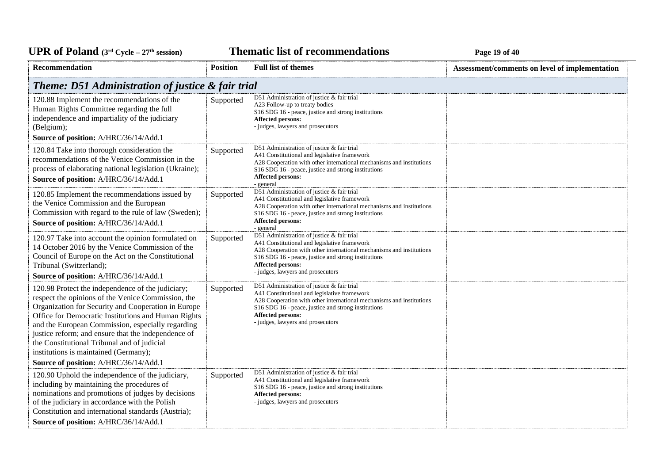**Thematic list of recommendations Page 19** of 40

| Recommendation                                                                                                                                                                                                                                                                                                                                                                                                                                                     | <b>Position</b> | <b>Full list of themes</b>                                                                                                                                                                                                                                                                                 | Assessment/comments on level of implementation |
|--------------------------------------------------------------------------------------------------------------------------------------------------------------------------------------------------------------------------------------------------------------------------------------------------------------------------------------------------------------------------------------------------------------------------------------------------------------------|-----------------|------------------------------------------------------------------------------------------------------------------------------------------------------------------------------------------------------------------------------------------------------------------------------------------------------------|------------------------------------------------|
| Theme: D51 Administration of justice & fair trial                                                                                                                                                                                                                                                                                                                                                                                                                  |                 |                                                                                                                                                                                                                                                                                                            |                                                |
| 120.88 Implement the recommendations of the<br>Human Rights Committee regarding the full<br>independence and impartiality of the judiciary<br>(Belgium);<br>Source of position: A/HRC/36/14/Add.1                                                                                                                                                                                                                                                                  | Supported       | D51 Administration of justice & fair trial<br>A23 Follow-up to treaty bodies<br>S16 SDG 16 - peace, justice and strong institutions<br><b>Affected persons:</b><br>- judges, lawyers and prosecutors                                                                                                       |                                                |
| 120.84 Take into thorough consideration the<br>recommendations of the Venice Commission in the<br>process of elaborating national legislation (Ukraine);<br>Source of position: A/HRC/36/14/Add.1                                                                                                                                                                                                                                                                  | Supported       | D51 Administration of justice & fair trial<br>A41 Constitutional and legislative framework<br>A28 Cooperation with other international mechanisms and institutions<br>S16 SDG 16 - peace, justice and strong institutions<br>Affected persons:<br>- general                                                |                                                |
| 120.85 Implement the recommendations issued by<br>the Venice Commission and the European<br>Commission with regard to the rule of law (Sweden);<br>Source of position: A/HRC/36/14/Add.1                                                                                                                                                                                                                                                                           | Supported       | D51 Administration of justice & fair trial<br>A41 Constitutional and legislative framework<br>A28 Cooperation with other international mechanisms and institutions<br>S <sub>16</sub> SDG <sub>16</sub> - peace, justice and strong institutions<br><b>Affected persons:</b><br>- general                  |                                                |
| 120.97 Take into account the opinion formulated on<br>14 October 2016 by the Venice Commission of the<br>Council of Europe on the Act on the Constitutional<br>Tribunal (Switzerland);<br>Source of position: A/HRC/36/14/Add.1                                                                                                                                                                                                                                    | Supported       | D51 Administration of justice & fair trial<br>A41 Constitutional and legislative framework<br>A28 Cooperation with other international mechanisms and institutions<br>S16 SDG 16 - peace, justice and strong institutions<br><b>Affected persons:</b><br>- judges, lawyers and prosecutors                 |                                                |
| 120.98 Protect the independence of the judiciary;<br>respect the opinions of the Venice Commission, the<br>Organization for Security and Cooperation in Europe<br>Office for Democratic Institutions and Human Rights<br>and the European Commission, especially regarding<br>justice reform; and ensure that the independence of<br>the Constitutional Tribunal and of judicial<br>institutions is maintained (Germany);<br>Source of position: A/HRC/36/14/Add.1 | Supported       | D51 Administration of justice & fair trial<br>A41 Constitutional and legislative framework<br>A28 Cooperation with other international mechanisms and institutions<br>S <sub>16</sub> SDG <sub>16</sub> - peace, justice and strong institutions<br>Affected persons:<br>- judges, lawyers and prosecutors |                                                |
| 120.90 Uphold the independence of the judiciary,<br>including by maintaining the procedures of<br>nominations and promotions of judges by decisions<br>of the judiciary in accordance with the Polish<br>Constitution and international standards (Austria);<br>Source of position: A/HRC/36/14/Add.1                                                                                                                                                              | Supported       | D51 Administration of justice & fair trial<br>A41 Constitutional and legislative framework<br>S16 SDG 16 - peace, justice and strong institutions<br><b>Affected persons:</b><br>- judges, lawyers and prosecutors                                                                                         |                                                |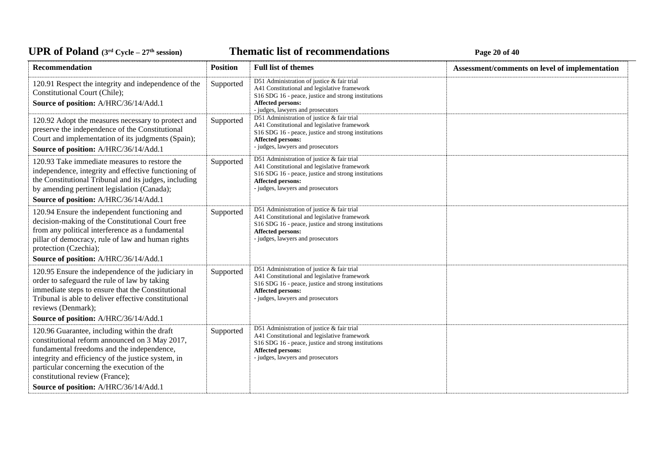### **Thematic list of recommendations Page 20** of 40

| <b>Recommendation</b>                                                                                                                                                                                                                                                                                                        | <b>Position</b> | <b>Full list of themes</b>                                                                                                                                                                                                         | Assessment/comments on level of implementation |
|------------------------------------------------------------------------------------------------------------------------------------------------------------------------------------------------------------------------------------------------------------------------------------------------------------------------------|-----------------|------------------------------------------------------------------------------------------------------------------------------------------------------------------------------------------------------------------------------------|------------------------------------------------|
| 120.91 Respect the integrity and independence of the<br>Constitutional Court (Chile);<br>Source of position: A/HRC/36/14/Add.1                                                                                                                                                                                               | Supported       | D51 Administration of justice & fair trial<br>A41 Constitutional and legislative framework<br>S <sub>16</sub> SDG <sub>16</sub> - peace, justice and strong institutions<br>Affected persons:<br>- judges, lawyers and prosecutors |                                                |
| 120.92 Adopt the measures necessary to protect and<br>preserve the independence of the Constitutional<br>Court and implementation of its judgments (Spain);<br>Source of position: A/HRC/36/14/Add.1                                                                                                                         | Supported       | D51 Administration of justice & fair trial<br>A41 Constitutional and legislative framework<br>S <sub>16</sub> SDG <sub>16</sub> - peace, justice and strong institutions<br>Affected persons:<br>- judges, lawyers and prosecutors |                                                |
| 120.93 Take immediate measures to restore the<br>independence, integrity and effective functioning of<br>the Constitutional Tribunal and its judges, including<br>by amending pertinent legislation (Canada);<br>Source of position: A/HRC/36/14/Add.1                                                                       | Supported       | D51 Administration of justice & fair trial<br>A41 Constitutional and legislative framework<br>S16 SDG 16 - peace, justice and strong institutions<br>Affected persons:<br>- judges, lawyers and prosecutors                        |                                                |
| 120.94 Ensure the independent functioning and<br>decision-making of the Constitutional Court free<br>from any political interference as a fundamental<br>pillar of democracy, rule of law and human rights<br>protection (Czechia);                                                                                          | Supported       | D51 Administration of justice & fair trial<br>A41 Constitutional and legislative framework<br>S16 SDG 16 - peace, justice and strong institutions<br>Affected persons:<br>- judges, lawyers and prosecutors                        |                                                |
| Source of position: A/HRC/36/14/Add.1<br>120.95 Ensure the independence of the judiciary in<br>order to safeguard the rule of law by taking<br>immediate steps to ensure that the Constitutional<br>Tribunal is able to deliver effective constitutional<br>reviews (Denmark);<br>Source of position: A/HRC/36/14/Add.1      | Supported       | D51 Administration of justice & fair trial<br>A41 Constitutional and legislative framework<br>S <sub>16</sub> SDG <sub>16</sub> - peace, justice and strong institutions<br>Affected persons:<br>- judges, lawyers and prosecutors |                                                |
| 120.96 Guarantee, including within the draft<br>constitutional reform announced on 3 May 2017,<br>fundamental freedoms and the independence,<br>integrity and efficiency of the justice system, in<br>particular concerning the execution of the<br>constitutional review (France);<br>Source of position: A/HRC/36/14/Add.1 | Supported       | D51 Administration of justice & fair trial<br>A41 Constitutional and legislative framework<br>S16 SDG 16 - peace, justice and strong institutions<br>Affected persons:<br>- judges, lawyers and prosecutors                        |                                                |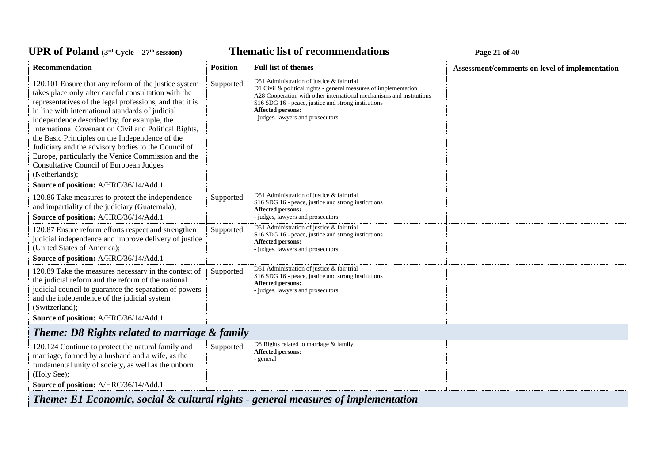### **Thematic list of recommendations Page 21** of 40

| Recommendation                                                                                                                                                                                                                                                                                                                                                                                                                                                                                                                                                                                                    | <b>Position</b>                                                                   | <b>Full list of themes</b>                                                                                                                                                                                                                                                                                        | Assessment/comments on level of implementation |  |  |
|-------------------------------------------------------------------------------------------------------------------------------------------------------------------------------------------------------------------------------------------------------------------------------------------------------------------------------------------------------------------------------------------------------------------------------------------------------------------------------------------------------------------------------------------------------------------------------------------------------------------|-----------------------------------------------------------------------------------|-------------------------------------------------------------------------------------------------------------------------------------------------------------------------------------------------------------------------------------------------------------------------------------------------------------------|------------------------------------------------|--|--|
| 120.101 Ensure that any reform of the justice system<br>takes place only after careful consultation with the<br>representatives of the legal professions, and that it is<br>in line with international standards of judicial<br>independence described by, for example, the<br>International Covenant on Civil and Political Rights,<br>the Basic Principles on the Independence of the<br>Judiciary and the advisory bodies to the Council of<br>Europe, particularly the Venice Commission and the<br><b>Consultative Council of European Judges</b><br>(Netherlands);<br>Source of position: A/HRC/36/14/Add.1 | Supported                                                                         | D51 Administration of justice & fair trial<br>D1 Civil $\&$ political rights - general measures of implementation<br>A28 Cooperation with other international mechanisms and institutions<br>S16 SDG 16 - peace, justice and strong institutions<br><b>Affected persons:</b><br>- judges, lawyers and prosecutors |                                                |  |  |
| 120.86 Take measures to protect the independence<br>and impartiality of the judiciary (Guatemala);<br>Source of position: A/HRC/36/14/Add.1                                                                                                                                                                                                                                                                                                                                                                                                                                                                       | Supported                                                                         | D51 Administration of justice & fair trial<br>S16 SDG 16 - peace, justice and strong institutions<br>Affected persons:<br>- judges, lawyers and prosecutors                                                                                                                                                       |                                                |  |  |
| 120.87 Ensure reform efforts respect and strengthen<br>judicial independence and improve delivery of justice<br>(United States of America);<br>Source of position: A/HRC/36/14/Add.1                                                                                                                                                                                                                                                                                                                                                                                                                              | Supported                                                                         | D51 Administration of justice & fair trial<br>S16 SDG 16 - peace, justice and strong institutions<br><b>Affected persons:</b><br>- judges, lawyers and prosecutors                                                                                                                                                |                                                |  |  |
| 120.89 Take the measures necessary in the context of<br>the judicial reform and the reform of the national<br>judicial council to guarantee the separation of powers<br>and the independence of the judicial system<br>(Switzerland);<br>Source of position: A/HRC/36/14/Add.1                                                                                                                                                                                                                                                                                                                                    | Supported                                                                         | D51 Administration of justice & fair trial<br>S16 SDG 16 - peace, justice and strong institutions<br>Affected persons:<br>- judges, lawyers and prosecutors                                                                                                                                                       |                                                |  |  |
| Theme: D8 Rights related to marriage & family                                                                                                                                                                                                                                                                                                                                                                                                                                                                                                                                                                     |                                                                                   |                                                                                                                                                                                                                                                                                                                   |                                                |  |  |
| 120.124 Continue to protect the natural family and<br>marriage, formed by a husband and a wife, as the<br>fundamental unity of society, as well as the unborn<br>(Holy See);<br>Source of position: A/HRC/36/14/Add.1                                                                                                                                                                                                                                                                                                                                                                                             | Supported                                                                         | D8 Rights related to marriage & family<br><b>Affected persons:</b><br>- general                                                                                                                                                                                                                                   |                                                |  |  |
|                                                                                                                                                                                                                                                                                                                                                                                                                                                                                                                                                                                                                   | Theme: E1 Economic, social & cultural rights - general measures of implementation |                                                                                                                                                                                                                                                                                                                   |                                                |  |  |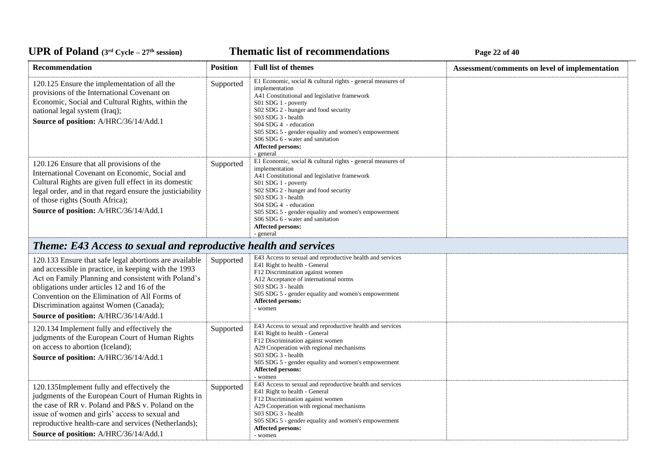**Thematic list of recommendations Page 22** of 40

| Recommendation                                                                                                                                                                                                                                                                                                                                           | <b>Position</b> | <b>Full list of themes</b>                                                                                                                                                                                                                                                                                                                                                      | Assessment/comments on level of implementation |
|----------------------------------------------------------------------------------------------------------------------------------------------------------------------------------------------------------------------------------------------------------------------------------------------------------------------------------------------------------|-----------------|---------------------------------------------------------------------------------------------------------------------------------------------------------------------------------------------------------------------------------------------------------------------------------------------------------------------------------------------------------------------------------|------------------------------------------------|
| 120.125 Ensure the implementation of all the<br>provisions of the International Covenant on<br>Economic, Social and Cultural Rights, within the<br>national legal system (Iraq);<br>Source of position: A/HRC/36/14/Add.1                                                                                                                                | Supported       | E1 Economic, social & cultural rights - general measures of<br>implementation<br>A41 Constitutional and legislative framework<br>S01 SDG 1 - poverty<br>S02 SDG 2 - hunger and food security<br>S03 SDG 3 - health<br>S04 SDG 4 - education<br>S05 SDG 5 - gender equality and women's empowerment<br>S06 SDG 6 - water and sanitation<br><b>Affected persons:</b><br>- general |                                                |
| 120.126 Ensure that all provisions of the<br>International Covenant on Economic, Social and<br>Cultural Rights are given full effect in its domestic<br>legal order, and in that regard ensure the justiciability<br>of those rights (South Africa);<br>Source of position: A/HRC/36/14/Add.1                                                            | Supported       | E1 Economic, social & cultural rights - general measures of<br>implementation<br>A41 Constitutional and legislative framework<br>S01 SDG 1 - poverty<br>S02 SDG 2 - hunger and food security<br>S03 SDG 3 - health<br>S04 SDG 4 - education<br>S05 SDG 5 - gender equality and women's empowerment<br>S06 SDG 6 - water and sanitation<br>Affected persons:<br>- general        |                                                |
| <b>Theme: E43 Access to sexual and reproductive health and services</b>                                                                                                                                                                                                                                                                                  |                 |                                                                                                                                                                                                                                                                                                                                                                                 |                                                |
| 120.133 Ensure that safe legal abortions are available<br>and accessible in practice, in keeping with the 1993<br>Act on Family Planning and consistent with Poland's<br>obligations under articles 12 and 16 of the<br>Convention on the Elimination of All Forms of<br>Discrimination against Women (Canada);<br>Source of position: A/HRC/36/14/Add.1 | Supported       | E43 Access to sexual and reproductive health and services<br>E41 Right to health - General<br>F12 Discrimination against women<br>A12 Acceptance of international norms<br>S03 SDG 3 - health<br>S05 SDG 5 - gender equality and women's empowerment<br>Affected persons:<br>- women                                                                                            |                                                |
| 120.134 Implement fully and effectively the<br>judgments of the European Court of Human Rights<br>on access to abortion (Iceland);<br>Source of position: A/HRC/36/14/Add.1                                                                                                                                                                              | Supported       | E43 Access to sexual and reproductive health and services<br>E41 Right to health - General<br>F12 Discrimination against women<br>A29 Cooperation with regional mechanisms<br>S03 SDG 3 - health<br>S05 SDG 5 - gender equality and women's empowerment<br>Affected persons:<br>- women                                                                                         |                                                |
| 120.135Implement fully and effectively the<br>judgments of the European Court of Human Rights in<br>the case of RR v. Poland and P&S v. Poland on the<br>issue of women and girls' access to sexual and<br>reproductive health-care and services (Netherlands);<br>Source of position: A/HRC/36/14/Add.1                                                 | Supported       | E43 Access to sexual and reproductive health and services<br>E41 Right to health - General<br>F12 Discrimination against women<br>A29 Cooperation with regional mechanisms<br>S03 SDG 3 - health<br>S05 SDG 5 - gender equality and women's empowerment<br>Affected persons:<br>- women                                                                                         |                                                |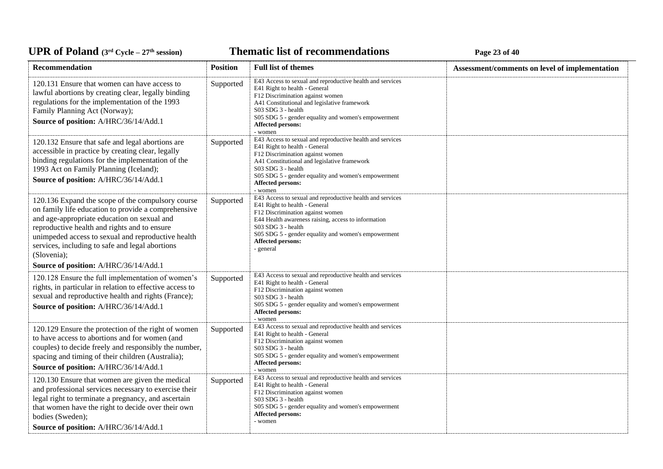**Thematic list of recommendations Page 23** of 40

| Recommendation                                                                                                                                                                                                                                                                                                                  | <b>Position</b> | <b>Full list of themes</b>                                                                                                                                                                                                                                                                                  | Assessment/comments on level of implementation |
|---------------------------------------------------------------------------------------------------------------------------------------------------------------------------------------------------------------------------------------------------------------------------------------------------------------------------------|-----------------|-------------------------------------------------------------------------------------------------------------------------------------------------------------------------------------------------------------------------------------------------------------------------------------------------------------|------------------------------------------------|
| 120.131 Ensure that women can have access to<br>lawful abortions by creating clear, legally binding<br>regulations for the implementation of the 1993<br>Family Planning Act (Norway);<br>Source of position: A/HRC/36/14/Add.1                                                                                                 | Supported       | E43 Access to sexual and reproductive health and services<br>E41 Right to health - General<br>F12 Discrimination against women<br>A41 Constitutional and legislative framework<br>S03 SDG 3 - health<br>S05 SDG 5 - gender equality and women's empowerment<br><b>Affected persons:</b><br>- women          |                                                |
| 120.132 Ensure that safe and legal abortions are<br>accessible in practice by creating clear, legally<br>binding regulations for the implementation of the<br>1993 Act on Family Planning (Iceland);<br>Source of position: A/HRC/36/14/Add.1                                                                                   | Supported       | E43 Access to sexual and reproductive health and services<br>E41 Right to health - General<br>F12 Discrimination against women<br>A41 Constitutional and legislative framework<br>S03 SDG 3 - health<br>S05 SDG 5 - gender equality and women's empowerment<br><b>Affected persons:</b><br>- women          |                                                |
| 120.136 Expand the scope of the compulsory course<br>on family life education to provide a comprehensive<br>and age-appropriate education on sexual and<br>reproductive health and rights and to ensure<br>unimpeded access to sexual and reproductive health<br>services, including to safe and legal abortions<br>(Slovenia); | Supported       | E43 Access to sexual and reproductive health and services<br>E41 Right to health - General<br>F12 Discrimination against women<br>E44 Health awareness raising, access to information<br>S03 SDG 3 - health<br>S05 SDG 5 - gender equality and women's empowerment<br><b>Affected persons:</b><br>- general |                                                |
| Source of position: A/HRC/36/14/Add.1                                                                                                                                                                                                                                                                                           |                 |                                                                                                                                                                                                                                                                                                             |                                                |
| 120.128 Ensure the full implementation of women's<br>rights, in particular in relation to effective access to<br>sexual and reproductive health and rights (France);<br>Source of position: A/HRC/36/14/Add.1                                                                                                                   | Supported       | E43 Access to sexual and reproductive health and services<br>E41 Right to health - General<br>F12 Discrimination against women<br>S03 SDG 3 - health<br>S05 SDG 5 - gender equality and women's empowerment<br><b>Affected persons:</b><br>- women                                                          |                                                |
| 120.129 Ensure the protection of the right of women<br>to have access to abortions and for women (and<br>couples) to decide freely and responsibly the number,<br>spacing and timing of their children (Australia);<br>Source of position: A/HRC/36/14/Add.1                                                                    | Supported       | E43 Access to sexual and reproductive health and services<br>E41 Right to health - General<br>F12 Discrimination against women<br>S03 SDG 3 - health<br>S05 SDG 5 - gender equality and women's empowerment<br>Affected persons:<br>- women                                                                 |                                                |
| 120.130 Ensure that women are given the medical<br>and professional services necessary to exercise their<br>legal right to terminate a pregnancy, and ascertain<br>that women have the right to decide over their own<br>bodies (Sweden);<br>Source of position: A/HRC/36/14/Add.1                                              | Supported       | E43 Access to sexual and reproductive health and services<br>E41 Right to health - General<br>F12 Discrimination against women<br>S03 SDG 3 - health<br>S05 SDG 5 - gender equality and women's empowerment<br><b>Affected persons:</b><br>- women                                                          |                                                |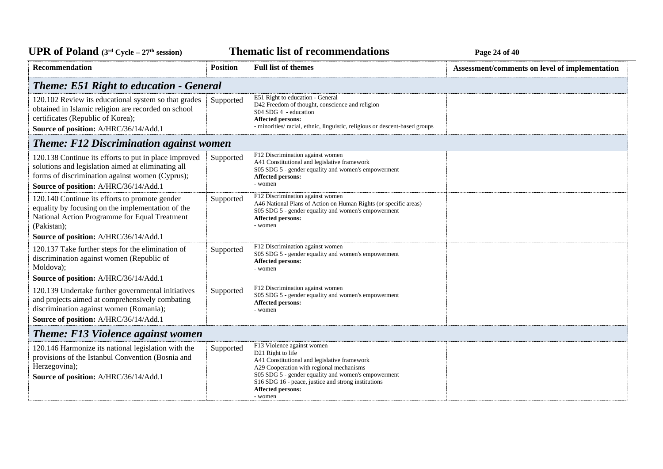**Thematic list of recommendations Page 24** of 40

| Recommendation                                                                                                                                                                                               | <b>Position</b>                                | <b>Full list of themes</b>                                                                                                                                                                                                                                                                       | Assessment/comments on level of implementation |  |  |
|--------------------------------------------------------------------------------------------------------------------------------------------------------------------------------------------------------------|------------------------------------------------|--------------------------------------------------------------------------------------------------------------------------------------------------------------------------------------------------------------------------------------------------------------------------------------------------|------------------------------------------------|--|--|
|                                                                                                                                                                                                              | <b>Theme: E51 Right to education - General</b> |                                                                                                                                                                                                                                                                                                  |                                                |  |  |
| 120.102 Review its educational system so that grades<br>obtained in Islamic religion are recorded on school<br>certificates (Republic of Korea);<br>Source of position: A/HRC/36/14/Add.1                    | Supported                                      | E51 Right to education - General<br>D42 Freedom of thought, conscience and religion<br>S04 SDG 4 - education<br><b>Affected persons:</b><br>- minorities/ racial, ethnic, linguistic, religious or descent-based groups                                                                          |                                                |  |  |
| <b>Theme: F12 Discrimination against women</b>                                                                                                                                                               |                                                |                                                                                                                                                                                                                                                                                                  |                                                |  |  |
| 120.138 Continue its efforts to put in place improved<br>solutions and legislation aimed at eliminating all<br>forms of discrimination against women (Cyprus);<br>Source of position: A/HRC/36/14/Add.1      | Supported                                      | F12 Discrimination against women<br>A41 Constitutional and legislative framework<br>S05 SDG 5 - gender equality and women's empowerment<br>Affected persons:<br>- women                                                                                                                          |                                                |  |  |
| 120.140 Continue its efforts to promote gender<br>equality by focusing on the implementation of the<br>National Action Programme for Equal Treatment<br>(Pakistan);<br>Source of position: A/HRC/36/14/Add.1 | Supported                                      | F12 Discrimination against women<br>A46 National Plans of Action on Human Rights (or specific areas)<br>S05 SDG 5 - gender equality and women's empowerment<br>Affected persons:<br>- women                                                                                                      |                                                |  |  |
| 120.137 Take further steps for the elimination of<br>discrimination against women (Republic of<br>Moldova);                                                                                                  | Supported                                      | F12 Discrimination against women<br>S05 SDG 5 - gender equality and women's empowerment<br>Affected persons:<br>- women                                                                                                                                                                          |                                                |  |  |
| Source of position: A/HRC/36/14/Add.1                                                                                                                                                                        |                                                |                                                                                                                                                                                                                                                                                                  |                                                |  |  |
| 120.139 Undertake further governmental initiatives<br>and projects aimed at comprehensively combating<br>discrimination against women (Romania);<br>Source of position: A/HRC/36/14/Add.1                    | Supported                                      | F12 Discrimination against women<br>S05 SDG 5 - gender equality and women's empowerment<br><b>Affected persons:</b><br>- women                                                                                                                                                                   |                                                |  |  |
| <b>Theme: F13 Violence against women</b>                                                                                                                                                                     |                                                |                                                                                                                                                                                                                                                                                                  |                                                |  |  |
| 120.146 Harmonize its national legislation with the<br>provisions of the Istanbul Convention (Bosnia and<br>Herzegovina);<br>Source of position: A/HRC/36/14/Add.1                                           | Supported                                      | F13 Violence against women<br>D21 Right to life<br>A41 Constitutional and legislative framework<br>A29 Cooperation with regional mechanisms<br>S05 SDG 5 - gender equality and women's empowerment<br>S16 SDG 16 - peace, justice and strong institutions<br><b>Affected persons:</b><br>- women |                                                |  |  |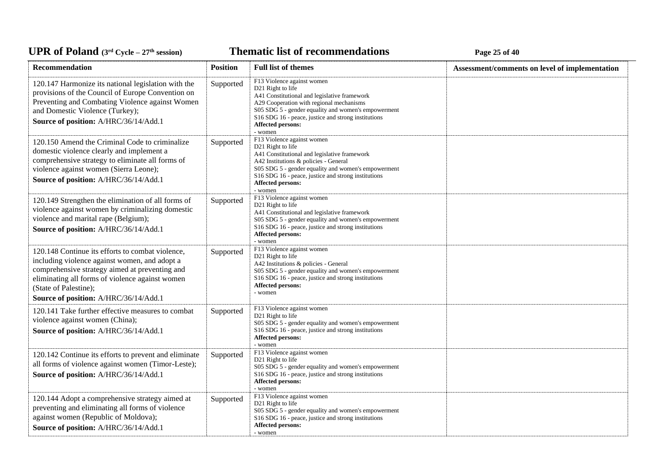**Thematic list of recommendations Page 25** of 40

| Recommendation                                                                                                                                                                                                                                                           | <b>Position</b> | <b>Full list of themes</b>                                                                                                                                                                                                                                                                                | Assessment/comments on level of implementation |
|--------------------------------------------------------------------------------------------------------------------------------------------------------------------------------------------------------------------------------------------------------------------------|-----------------|-----------------------------------------------------------------------------------------------------------------------------------------------------------------------------------------------------------------------------------------------------------------------------------------------------------|------------------------------------------------|
| 120.147 Harmonize its national legislation with the<br>provisions of the Council of Europe Convention on<br>Preventing and Combating Violence against Women<br>and Domestic Violence (Turkey);<br>Source of position: A/HRC/36/14/Add.1                                  | Supported       | F13 Violence against women<br>D <sub>21</sub> Right to life<br>A41 Constitutional and legislative framework<br>A29 Cooperation with regional mechanisms<br>S05 SDG 5 - gender equality and women's empowerment<br>S16 SDG 16 - peace, justice and strong institutions<br>Affected persons:<br>- women     |                                                |
| 120.150 Amend the Criminal Code to criminalize<br>domestic violence clearly and implement a<br>comprehensive strategy to eliminate all forms of<br>violence against women (Sierra Leone);<br>Source of position: A/HRC/36/14/Add.1                                       | Supported       | F13 Violence against women<br>D <sub>21</sub> Right to life<br>A41 Constitutional and legislative framework<br>A42 Institutions & policies - General<br>S05 SDG 5 - gender equality and women's empowerment<br>S16 SDG 16 - peace, justice and strong institutions<br><b>Affected persons:</b><br>- women |                                                |
| 120.149 Strengthen the elimination of all forms of<br>violence against women by criminalizing domestic<br>violence and marital rape (Belgium);<br>Source of position: A/HRC/36/14/Add.1                                                                                  | Supported       | F13 Violence against women<br>D <sub>21</sub> Right to life<br>A41 Constitutional and legislative framework<br>S05 SDG 5 - gender equality and women's empowerment<br>S <sub>16</sub> SDG <sub>16</sub> - peace, justice and strong institutions<br>Affected persons:<br>- women                          |                                                |
| 120.148 Continue its efforts to combat violence,<br>including violence against women, and adopt a<br>comprehensive strategy aimed at preventing and<br>eliminating all forms of violence against women<br>(State of Palestine);<br>Source of position: A/HRC/36/14/Add.1 | Supported       | F13 Violence against women<br>D21 Right to life<br>A42 Institutions & policies - General<br>S05 SDG 5 - gender equality and women's empowerment<br>S16 SDG 16 - peace, justice and strong institutions<br><b>Affected persons:</b><br>- women                                                             |                                                |
| 120.141 Take further effective measures to combat<br>violence against women (China);<br>Source of position: A/HRC/36/14/Add.1                                                                                                                                            | Supported       | F13 Violence against women<br>D21 Right to life<br>S05 SDG 5 - gender equality and women's empowerment<br>S16 SDG 16 - peace, justice and strong institutions<br>Affected persons:<br>- women                                                                                                             |                                                |
| 120.142 Continue its efforts to prevent and eliminate<br>all forms of violence against women (Timor-Leste);<br>Source of position: A/HRC/36/14/Add.1                                                                                                                     | Supported       | F13 Violence against women<br>D <sub>21</sub> Right to life<br>S05 SDG 5 - gender equality and women's empowerment<br>S16 SDG 16 - peace, justice and strong institutions<br>Affected persons:<br>- women                                                                                                 |                                                |
| 120.144 Adopt a comprehensive strategy aimed at<br>preventing and eliminating all forms of violence<br>against women (Republic of Moldova);<br>Source of position: A/HRC/36/14/Add.1                                                                                     | Supported       | F13 Violence against women<br>D21 Right to life<br>S05 SDG 5 - gender equality and women's empowerment<br>S16 SDG 16 - peace, justice and strong institutions<br><b>Affected persons:</b><br>- women                                                                                                      |                                                |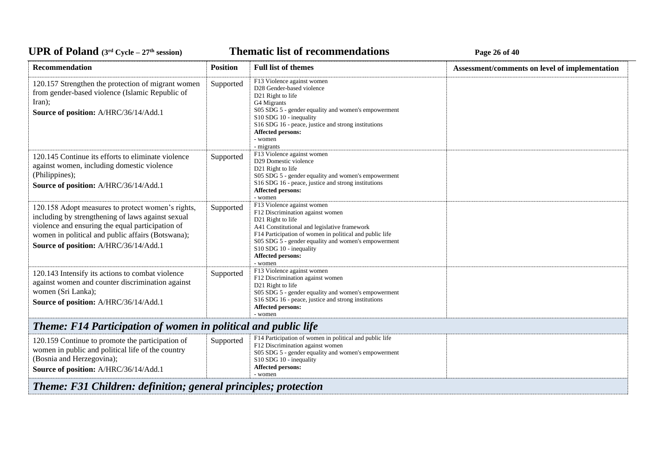**Thematic list of recommendations Page 26** of 40

| Recommendation                                                                                                                                                                                                                                           | <b>Position</b> | <b>Full list of themes</b>                                                                                                                                                                                                                                                                                       | Assessment/comments on level of implementation |  |
|----------------------------------------------------------------------------------------------------------------------------------------------------------------------------------------------------------------------------------------------------------|-----------------|------------------------------------------------------------------------------------------------------------------------------------------------------------------------------------------------------------------------------------------------------------------------------------------------------------------|------------------------------------------------|--|
| 120.157 Strengthen the protection of migrant women<br>from gender-based violence (Islamic Republic of<br>Iran);<br>Source of position: A/HRC/36/14/Add.1                                                                                                 | Supported       | F13 Violence against women<br>D28 Gender-based violence<br>D21 Right to life<br>G4 Migrants<br>S05 SDG 5 - gender equality and women's empowerment<br>S10 SDG 10 - inequality<br>S16 SDG 16 - peace, justice and strong institutions<br>Affected persons:<br>- women<br>- migrants                               |                                                |  |
| 120.145 Continue its efforts to eliminate violence<br>against women, including domestic violence<br>(Philippines);<br>Source of position: A/HRC/36/14/Add.1                                                                                              | Supported       | F13 Violence against women<br>D29 Domestic violence<br>D21 Right to life<br>S05 SDG 5 - gender equality and women's empowerment<br>S16 SDG 16 - peace, justice and strong institutions<br>Affected persons:<br>- women                                                                                           |                                                |  |
| 120.158 Adopt measures to protect women's rights,<br>including by strengthening of laws against sexual<br>violence and ensuring the equal participation of<br>women in political and public affairs (Botswana);<br>Source of position: A/HRC/36/14/Add.1 | Supported       | F13 Violence against women<br>F12 Discrimination against women<br>D21 Right to life<br>A41 Constitutional and legislative framework<br>F14 Participation of women in political and public life<br>S05 SDG 5 - gender equality and women's empowerment<br>S10 SDG 10 - inequality<br>Affected persons:<br>- women |                                                |  |
| 120.143 Intensify its actions to combat violence<br>against women and counter discrimination against<br>women (Sri Lanka);<br>Source of position: A/HRC/36/14/Add.1                                                                                      | Supported       | F13 Violence against women<br>F12 Discrimination against women<br>D21 Right to life<br>S05 SDG 5 - gender equality and women's empowerment<br>S16 SDG 16 - peace, justice and strong institutions<br>Affected persons:<br>- women                                                                                |                                                |  |
| <b>Theme: F14 Participation of women in political and public life</b>                                                                                                                                                                                    |                 |                                                                                                                                                                                                                                                                                                                  |                                                |  |
| 120.159 Continue to promote the participation of<br>women in public and political life of the country<br>(Bosnia and Herzegovina);<br>Source of position: A/HRC/36/14/Add.1                                                                              | Supported       | F14 Participation of women in political and public life<br>F12 Discrimination against women<br>S05 SDG 5 - gender equality and women's empowerment<br>S10 SDG 10 - inequality<br>Affected persons:<br>- women                                                                                                    |                                                |  |
| Theme: F31 Children: definition; general principles; protection                                                                                                                                                                                          |                 |                                                                                                                                                                                                                                                                                                                  |                                                |  |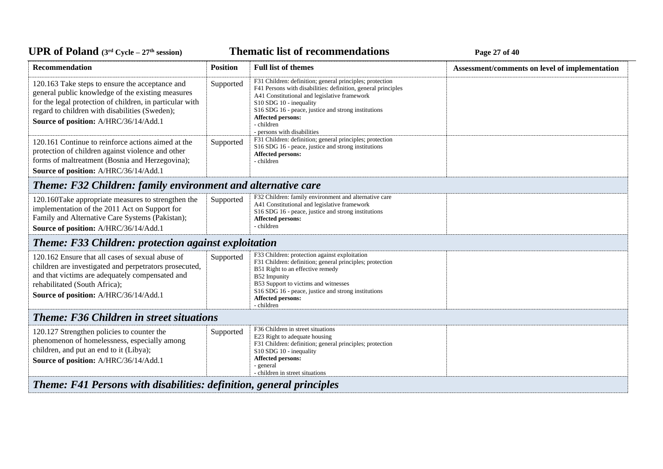**Thematic list of recommendations Page 27** of 40

| Recommendation                                                                                                                                                                                                                                              | <b>Position</b> | <b>Full list of themes</b>                                                                                                                                                                                                                                                                                                           | Assessment/comments on level of implementation |
|-------------------------------------------------------------------------------------------------------------------------------------------------------------------------------------------------------------------------------------------------------------|-----------------|--------------------------------------------------------------------------------------------------------------------------------------------------------------------------------------------------------------------------------------------------------------------------------------------------------------------------------------|------------------------------------------------|
| 120.163 Take steps to ensure the acceptance and<br>general public knowledge of the existing measures<br>for the legal protection of children, in particular with<br>regard to children with disabilities (Sweden);<br>Source of position: A/HRC/36/14/Add.1 | Supported       | F31 Children: definition; general principles; protection<br>F41 Persons with disabilities: definition, general principles<br>A41 Constitutional and legislative framework<br>S10 SDG 10 - inequality<br>S16 SDG 16 - peace, justice and strong institutions<br><b>Affected persons:</b><br>- children<br>- persons with disabilities |                                                |
| 120.161 Continue to reinforce actions aimed at the<br>protection of children against violence and other<br>forms of maltreatment (Bosnia and Herzegovina);<br>Source of position: A/HRC/36/14/Add.1                                                         | Supported       | F31 Children: definition; general principles; protection<br>S16 SDG 16 - peace, justice and strong institutions<br>Affected persons:<br>- children                                                                                                                                                                                   |                                                |
| <b>Theme: F32 Children: family environment and alternative care</b>                                                                                                                                                                                         |                 |                                                                                                                                                                                                                                                                                                                                      |                                                |
| 120.160Take appropriate measures to strengthen the<br>implementation of the 2011 Act on Support for<br>Family and Alternative Care Systems (Pakistan);<br>Source of position: A/HRC/36/14/Add.1                                                             | Supported       | F32 Children: family environment and alternative care<br>A41 Constitutional and legislative framework<br>S <sub>16</sub> SDG <sub>16</sub> - peace, justice and strong institutions<br>Affected persons:<br>- children                                                                                                               |                                                |
| <b>Theme: F33 Children: protection against exploitation</b>                                                                                                                                                                                                 |                 |                                                                                                                                                                                                                                                                                                                                      |                                                |
| 120.162 Ensure that all cases of sexual abuse of<br>children are investigated and perpetrators prosecuted,<br>and that victims are adequately compensated and<br>rehabilitated (South Africa);<br>Source of position: A/HRC/36/14/Add.1                     | Supported       | F33 Children: protection against exploitation<br>F31 Children: definition; general principles; protection<br>B51 Right to an effective remedy<br>B52 Impunity<br>B53 Support to victims and witnesses<br>S16 SDG 16 - peace, justice and strong institutions<br><b>Affected persons:</b><br>- children                               |                                                |
| <b>Theme: F36 Children in street situations</b>                                                                                                                                                                                                             |                 |                                                                                                                                                                                                                                                                                                                                      |                                                |
| 120.127 Strengthen policies to counter the<br>phenomenon of homelessness, especially among<br>children, and put an end to it (Libya);<br>Source of position: A/HRC/36/14/Add.1                                                                              | Supported       | F36 Children in street situations<br>E23 Right to adequate housing<br>F31 Children: definition; general principles; protection<br>S10 SDG 10 - inequality<br>Affected persons:<br>- general<br>- children in street situations                                                                                                       |                                                |
| Theme: F41 Persons with disabilities: definition, general principles                                                                                                                                                                                        |                 |                                                                                                                                                                                                                                                                                                                                      |                                                |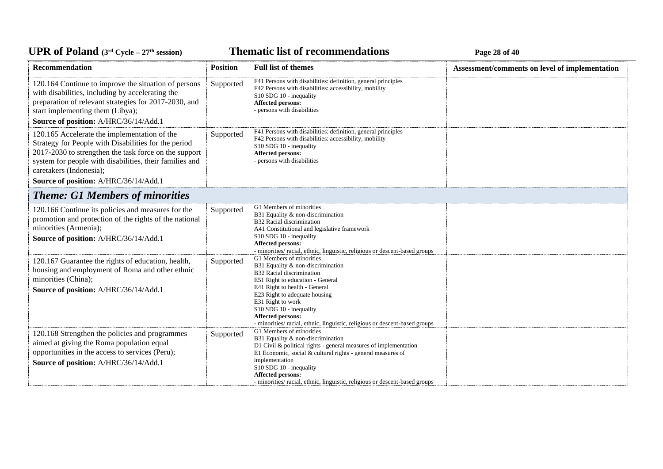### **Thematic list of recommendations Page 28** of 40

| Recommendation                                                                                                                                                                                                                                                                               | <b>Position</b> | <b>Full list of themes</b>                                                                                                                                                                                                                                                                                                                           | Assessment/comments on level of implementation |
|----------------------------------------------------------------------------------------------------------------------------------------------------------------------------------------------------------------------------------------------------------------------------------------------|-----------------|------------------------------------------------------------------------------------------------------------------------------------------------------------------------------------------------------------------------------------------------------------------------------------------------------------------------------------------------------|------------------------------------------------|
| 120.164 Continue to improve the situation of persons<br>with disabilities, including by accelerating the<br>preparation of relevant strategies for 2017-2030, and<br>start implementing them (Libya);                                                                                        | Supported       | F41 Persons with disabilities: definition, general principles<br>F42 Persons with disabilities: accessibility, mobility<br>S10 SDG 10 - inequality<br>Affected persons:<br>- persons with disabilities                                                                                                                                               |                                                |
| Source of position: A/HRC/36/14/Add.1                                                                                                                                                                                                                                                        |                 |                                                                                                                                                                                                                                                                                                                                                      |                                                |
| 120.165 Accelerate the implementation of the<br>Strategy for People with Disabilities for the period<br>2017-2030 to strengthen the task force on the support<br>system for people with disabilities, their families and<br>caretakers (Indonesia);<br>Source of position: A/HRC/36/14/Add.1 | Supported       | F41 Persons with disabilities: definition, general principles<br>F42 Persons with disabilities: accessibility, mobility<br>S10 SDG 10 - inequality<br>Affected persons:<br>- persons with disabilities                                                                                                                                               |                                                |
| <b>Theme: G1 Members of minorities</b>                                                                                                                                                                                                                                                       |                 |                                                                                                                                                                                                                                                                                                                                                      |                                                |
| 120.166 Continue its policies and measures for the<br>promotion and protection of the rights of the national<br>minorities (Armenia);<br>Source of position: A/HRC/36/14/Add.1                                                                                                               | Supported       | G1 Members of minorities<br>B31 Equality & non-discrimination<br>B32 Racial discrimination<br>A41 Constitutional and legislative framework<br>S10 SDG 10 - inequality<br>Affected persons:<br>- minorities/ racial, ethnic, linguistic, religious or descent-based groups                                                                            |                                                |
| 120.167 Guarantee the rights of education, health,<br>housing and employment of Roma and other ethnic<br>minorities (China);<br>Source of position: A/HRC/36/14/Add.1                                                                                                                        | Supported       | G1 Members of minorities<br>B31 Equality & non-discrimination<br>B32 Racial discrimination<br>E51 Right to education - General<br>E41 Right to health - General<br>E23 Right to adequate housing<br>E31 Right to work<br>S10 SDG 10 - inequality<br>Affected persons:<br>- minorities/ racial, ethnic, linguistic, religious or descent-based groups |                                                |
| 120.168 Strengthen the policies and programmes<br>aimed at giving the Roma population equal<br>opportunities in the access to services (Peru);<br>Source of position: A/HRC/36/14/Add.1                                                                                                      | Supported       | G1 Members of minorities<br>B31 Equality & non-discrimination<br>D1 Civil & political rights - general measures of implementation<br>E1 Economic, social & cultural rights - general measures of<br>implementation<br>S10 SDG 10 - inequality<br>Affected persons:<br>- minorities/racial, ethnic, linguistic, religious or descent-based groups     |                                                |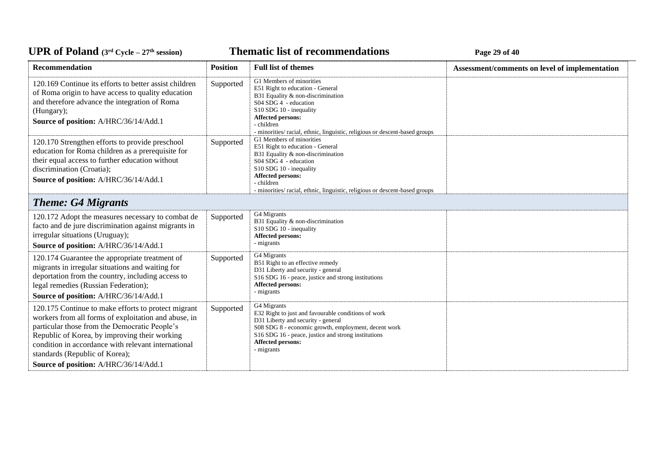**Thematic list of recommendations Page 29** of 40

| Recommendation                                                                                                                                                                                                                                                                                                                                  | <b>Position</b> | <b>Full list of themes</b>                                                                                                                                                                                                                                              | Assessment/comments on level of implementation |
|-------------------------------------------------------------------------------------------------------------------------------------------------------------------------------------------------------------------------------------------------------------------------------------------------------------------------------------------------|-----------------|-------------------------------------------------------------------------------------------------------------------------------------------------------------------------------------------------------------------------------------------------------------------------|------------------------------------------------|
| 120.169 Continue its efforts to better assist children<br>of Roma origin to have access to quality education<br>and therefore advance the integration of Roma<br>(Hungary);<br>Source of position: A/HRC/36/14/Add.1                                                                                                                            | Supported       | G1 Members of minorities<br>E51 Right to education - General<br>B31 Equality & non-discrimination<br>S04 SDG 4 - education<br>S10 SDG 10 - inequality<br>Affected persons:<br>- children<br>- minorities/ racial, ethnic, linguistic, religious or descent-based groups |                                                |
| 120.170 Strengthen efforts to provide preschool<br>education for Roma children as a prerequisite for<br>their equal access to further education without<br>discrimination (Croatia);<br>Source of position: A/HRC/36/14/Add.1                                                                                                                   | Supported       | G1 Members of minorities<br>E51 Right to education - General<br>B31 Equality & non-discrimination<br>S04 SDG 4 - education<br>S10 SDG 10 - inequality<br>Affected persons:<br>- children<br>- minorities/racial, ethnic, linguistic, religious or descent-based groups  |                                                |
| <b>Theme: G4 Migrants</b>                                                                                                                                                                                                                                                                                                                       |                 |                                                                                                                                                                                                                                                                         |                                                |
| 120.172 Adopt the measures necessary to combat de<br>facto and de jure discrimination against migrants in<br>irregular situations (Uruguay);<br>Source of position: A/HRC/36/14/Add.1                                                                                                                                                           | Supported       | G4 Migrants<br>B31 Equality & non-discrimination<br>S10 SDG 10 - inequality<br>Affected persons:<br>- migrants                                                                                                                                                          |                                                |
| 120.174 Guarantee the appropriate treatment of<br>migrants in irregular situations and waiting for<br>deportation from the country, including access to<br>legal remedies (Russian Federation);<br>Source of position: A/HRC/36/14/Add.1                                                                                                        | Supported       | G4 Migrants<br>B51 Right to an effective remedy<br>D31 Liberty and security - general<br>S16 SDG 16 - peace, justice and strong institutions<br>Affected persons:<br>- migrants                                                                                         |                                                |
| 120.175 Continue to make efforts to protect migrant<br>workers from all forms of exploitation and abuse, in<br>particular those from the Democratic People's<br>Republic of Korea, by improving their working<br>condition in accordance with relevant international<br>standards (Republic of Korea);<br>Source of position: A/HRC/36/14/Add.1 | Supported       | G4 Migrants<br>E32 Right to just and favourable conditions of work<br>D31 Liberty and security - general<br>S08 SDG 8 - economic growth, employment, decent work<br>S16 SDG 16 - peace, justice and strong institutions<br>Affected persons:<br>- migrants              |                                                |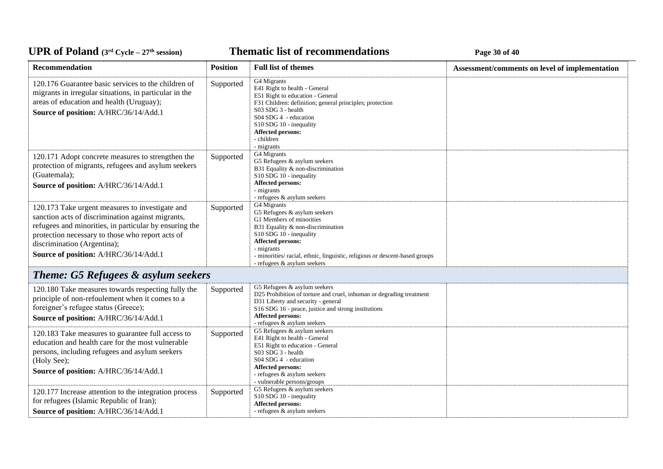**Thematic list of recommendations Page 30** of 40

| Recommendation                                                                                                                                                                                                                                                                             | <b>Position</b> | <b>Full list of themes</b>                                                                                                                                                                                                                                                                     | Assessment/comments on level of implementation |
|--------------------------------------------------------------------------------------------------------------------------------------------------------------------------------------------------------------------------------------------------------------------------------------------|-----------------|------------------------------------------------------------------------------------------------------------------------------------------------------------------------------------------------------------------------------------------------------------------------------------------------|------------------------------------------------|
| 120.176 Guarantee basic services to the children of<br>migrants in irregular situations, in particular in the<br>areas of education and health (Uruguay);<br>Source of position: A/HRC/36/14/Add.1                                                                                         | Supported       | G4 Migrants<br>E41 Right to health - General<br>E51 Right to education - General<br>F31 Children: definition; general principles; protection<br>S03 SDG 3 - health<br>S04 SDG 4 - education<br>S10 SDG 10 - inequality<br><b>Affected persons:</b><br>- children<br>- migrants                 |                                                |
| 120.171 Adopt concrete measures to strengthen the<br>protection of migrants, refugees and asylum seekers<br>(Guatemala);<br>Source of position: A/HRC/36/14/Add.1                                                                                                                          | Supported       | G4 Migrants<br>G5 Refugees & asylum seekers<br>B31 Equality & non-discrimination<br>S10 SDG 10 - inequality<br><b>Affected persons:</b><br>- migrants<br>- refugees & asylum seekers                                                                                                           |                                                |
| 120.173 Take urgent measures to investigate and<br>sanction acts of discrimination against migrants,<br>refugees and minorities, in particular by ensuring the<br>protection necessary to those who report acts of<br>discrimination (Argentina);<br>Source of position: A/HRC/36/14/Add.1 | Supported       | G4 Migrants<br>G5 Refugees & asylum seekers<br>G1 Members of minorities<br>B31 Equality & non-discrimination<br>S10 SDG 10 - inequality<br><b>Affected persons:</b><br>- migrants<br>- minorities/racial, ethnic, linguistic, religious or descent-based groups<br>- refugees & asylum seekers |                                                |
| <b>Theme: G5 Refugees &amp; asylum seekers</b>                                                                                                                                                                                                                                             |                 |                                                                                                                                                                                                                                                                                                |                                                |
| 120.180 Take measures towards respecting fully the<br>principle of non-refoulement when it comes to a<br>foreigner's refugee status (Greece);<br>Source of position: A/HRC/36/14/Add.1                                                                                                     | Supported       | G5 Refugees & asylum seekers<br>D25 Prohibition of torture and cruel, inhuman or degrading treatment<br>D31 Liberty and security - general<br>S16 SDG 16 - peace, justice and strong institutions<br>Affected persons:<br>- refugees & asylum seekers                                          |                                                |
| 120.183 Take measures to guarantee full access to<br>education and health care for the most vulnerable<br>persons, including refugees and asylum seekers<br>(Holy See);<br>Source of position: A/HRC/36/14/Add.1                                                                           | Supported       | G5 Refugees & asylum seekers<br>E41 Right to health - General<br>E51 Right to education - General<br>S03 SDG 3 - health<br>S04 SDG 4 - education<br><b>Affected persons:</b><br>- refugees & asylum seekers<br>- vulnerable persons/groups                                                     |                                                |
| 120.177 Increase attention to the integration process<br>for refugees (Islamic Republic of Iran);<br>Source of position: A/HRC/36/14/Add.1                                                                                                                                                 | Supported       | G5 Refugees & asylum seekers<br>S10 SDG 10 - inequality<br>Affected persons:<br>- refugees & asylum seekers                                                                                                                                                                                    |                                                |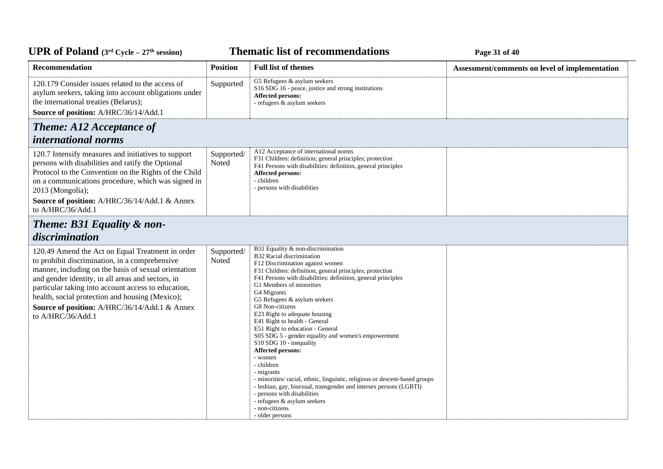*C***ELE <b>EXECUTE: CYCLE 2020 EXECUTE: Page 31** of 40

| Recommendation                                                                                                                                                                                                                                                                                                                                                                                  | <b>Position</b>     | <b>Full list of themes</b>                                                                                                                                                                                                                                                                                                                                                                                                                                                                                                                                                                                                                                                                                                                                                                                                                       | Assessment/comments on level of implementation |
|-------------------------------------------------------------------------------------------------------------------------------------------------------------------------------------------------------------------------------------------------------------------------------------------------------------------------------------------------------------------------------------------------|---------------------|--------------------------------------------------------------------------------------------------------------------------------------------------------------------------------------------------------------------------------------------------------------------------------------------------------------------------------------------------------------------------------------------------------------------------------------------------------------------------------------------------------------------------------------------------------------------------------------------------------------------------------------------------------------------------------------------------------------------------------------------------------------------------------------------------------------------------------------------------|------------------------------------------------|
| 120.179 Consider issues related to the access of<br>asylum seekers, taking into account obligations under<br>the international treaties (Belarus);<br>Source of position: A/HRC/36/14/Add.1                                                                                                                                                                                                     | Supported           | G5 Refugees & asylum seekers<br>S16 SDG 16 - peace, justice and strong institutions<br>Affected persons:<br>- refugees & asylum seekers                                                                                                                                                                                                                                                                                                                                                                                                                                                                                                                                                                                                                                                                                                          |                                                |
| <b>Theme: A12 Acceptance of</b>                                                                                                                                                                                                                                                                                                                                                                 |                     |                                                                                                                                                                                                                                                                                                                                                                                                                                                                                                                                                                                                                                                                                                                                                                                                                                                  |                                                |
| <i>international norms</i>                                                                                                                                                                                                                                                                                                                                                                      |                     |                                                                                                                                                                                                                                                                                                                                                                                                                                                                                                                                                                                                                                                                                                                                                                                                                                                  |                                                |
| 120.7 Intensify measures and initiatives to support<br>persons with disabilities and ratify the Optional<br>Protocol to the Convention on the Rights of the Child<br>on a communications procedure, which was signed in<br>2013 (Mongolia);<br>Source of position: A/HRC/36/14/Add.1 & Annex<br>to A/HRC/36/Add.1                                                                               | Supported/<br>Noted | A12 Acceptance of international norms<br>F31 Children: definition; general principles; protection<br>F41 Persons with disabilities: definition, general principles<br><b>Affected persons:</b><br>- children<br>- persons with disabilities                                                                                                                                                                                                                                                                                                                                                                                                                                                                                                                                                                                                      |                                                |
| Theme: B31 Equality & non-<br>discrimination                                                                                                                                                                                                                                                                                                                                                    |                     |                                                                                                                                                                                                                                                                                                                                                                                                                                                                                                                                                                                                                                                                                                                                                                                                                                                  |                                                |
| 120.49 Amend the Act on Equal Treatment in order<br>to prohibit discrimination, in a comprehensive<br>manner, including on the basis of sexual orientation<br>and gender identity, in all areas and sectors, in<br>particular taking into account access to education,<br>health, social protection and housing (Mexico);<br>Source of position: A/HRC/36/14/Add.1 & Annex<br>to A/HRC/36/Add.1 | Supported/<br>Noted | B31 Equality & non-discrimination<br>B32 Racial discrimination<br>F12 Discrimination against women<br>F31 Children: definition; general principles; protection<br>F41 Persons with disabilities: definition, general principles<br>G1 Members of minorities<br>G4 Migrants<br>G5 Refugees & asylum seekers<br>G8 Non-citizens<br>E23 Right to adequate housing<br>E41 Right to health - General<br>E51 Right to education - General<br>S05 SDG 5 - gender equality and women's empowerment<br>S10 SDG 10 - inequality<br><b>Affected persons:</b><br>- women<br>- children<br>- migrants<br>- minorities/ racial, ethnic, linguistic, religious or descent-based groups<br>- lesbian, gay, bisexual, transgender and intersex persons (LGBTI)<br>- persons with disabilities<br>- refugees & asylum seekers<br>- non-citizens<br>- older persons |                                                |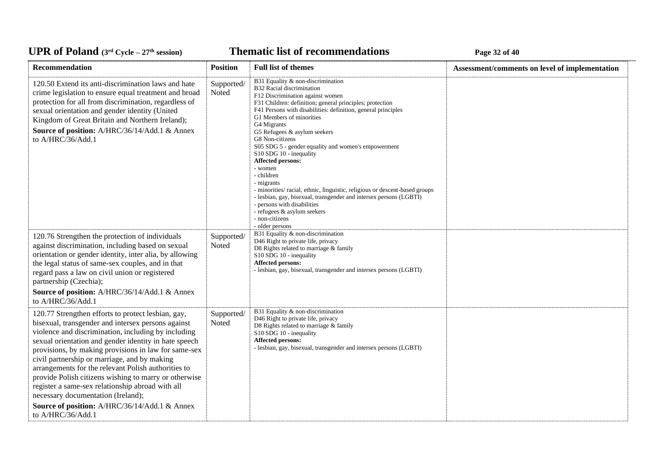### *C***ELE <b>EXECUTE: CYCLE 27E CYCLE 27E <b>EXECUTE: Page 32** of 40

| Recommendation                                                                                                                                                                                                                                                                                                                                                                                                                                                                                                                                                                                                   | <b>Position</b>     | <b>Full list of themes</b>                                                                                                                                                                                                                                                                                                                                                                                                                                                                                                                                                                                                                                                                                                                 | Assessment/comments on level of implementation |
|------------------------------------------------------------------------------------------------------------------------------------------------------------------------------------------------------------------------------------------------------------------------------------------------------------------------------------------------------------------------------------------------------------------------------------------------------------------------------------------------------------------------------------------------------------------------------------------------------------------|---------------------|--------------------------------------------------------------------------------------------------------------------------------------------------------------------------------------------------------------------------------------------------------------------------------------------------------------------------------------------------------------------------------------------------------------------------------------------------------------------------------------------------------------------------------------------------------------------------------------------------------------------------------------------------------------------------------------------------------------------------------------------|------------------------------------------------|
| 120.50 Extend its anti-discrimination laws and hate<br>crime legislation to ensure equal treatment and broad<br>protection for all from discrimination, regardless of<br>sexual orientation and gender identity (United<br>Kingdom of Great Britain and Northern Ireland);<br>Source of position: A/HRC/36/14/Add.1 & Annex<br>to A/HRC/36/Add.1                                                                                                                                                                                                                                                                 | Supported/<br>Noted | B31 Equality & non-discrimination<br>B32 Racial discrimination<br>F12 Discrimination against women<br>F31 Children: definition; general principles; protection<br>F41 Persons with disabilities: definition, general principles<br>G1 Members of minorities<br>G4 Migrants<br>G5 Refugees & asylum seekers<br>G8 Non-citizens<br>S05 SDG 5 - gender equality and women's empowerment<br>S10 SDG 10 - inequality<br><b>Affected persons:</b><br>- women<br>- children<br>- migrants<br>- minorities/ racial, ethnic, linguistic, religious or descent-based groups<br>- lesbian, gay, bisexual, transgender and intersex persons (LGBTI)<br>- persons with disabilities<br>- refugees & asylum seekers<br>- non-citizens<br>- older persons |                                                |
| 120.76 Strengthen the protection of individuals<br>against discrimination, including based on sexual<br>orientation or gender identity, inter alia, by allowing<br>the legal status of same-sex couples, and in that<br>regard pass a law on civil union or registered<br>partnership (Czechia);<br>Source of position: A/HRC/36/14/Add.1 & Annex<br>to A/HRC/36/Add.1                                                                                                                                                                                                                                           | Supported/<br>Noted | B31 Equality & non-discrimination<br>D46 Right to private life, privacy<br>D8 Rights related to marriage & family<br>S10 SDG 10 - inequality<br><b>Affected persons:</b><br>- lesbian, gay, bisexual, transgender and intersex persons (LGBTI)                                                                                                                                                                                                                                                                                                                                                                                                                                                                                             |                                                |
| 120.77 Strengthen efforts to protect lesbian, gay,<br>bisexual, transgender and intersex persons against<br>violence and discrimination, including by including<br>sexual orientation and gender identity in hate speech<br>provisions, by making provisions in law for same-sex<br>civil partnership or marriage, and by making<br>arrangements for the relevant Polish authorities to<br>provide Polish citizens wishing to marry or otherwise<br>register a same-sex relationship abroad with all<br>necessary documentation (Ireland);<br>Source of position: A/HRC/36/14/Add.1 & Annex<br>to A/HRC/36/Add.1 | Supported/<br>Noted | B31 Equality & non-discrimination<br>D46 Right to private life, privacy<br>D8 Rights related to marriage & family<br>S10 SDG 10 - inequality<br>Affected persons:<br>- lesbian, gay, bisexual, transgender and intersex persons (LGBTI)                                                                                                                                                                                                                                                                                                                                                                                                                                                                                                    |                                                |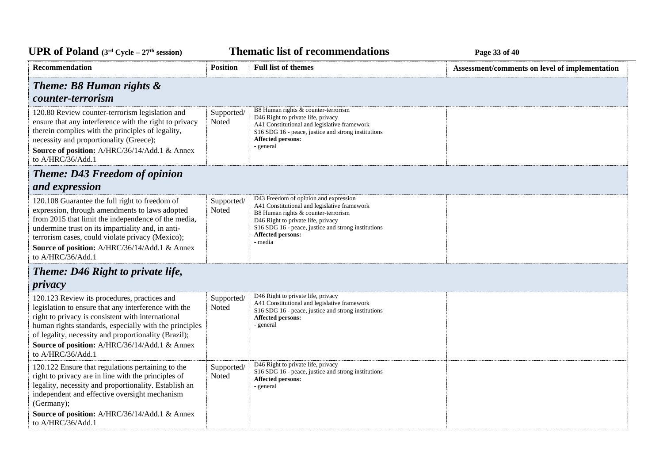*C***ELE <b>EXECUTE: CYCLE 23 Page 33** of 40

| <b>Position</b>                                        | <b>Full list of themes</b>                                                                                                                                                                                                                                                       | Assessment/comments on level of implementation |
|--------------------------------------------------------|----------------------------------------------------------------------------------------------------------------------------------------------------------------------------------------------------------------------------------------------------------------------------------|------------------------------------------------|
|                                                        |                                                                                                                                                                                                                                                                                  |                                                |
| Supported/<br>Noted                                    | B8 Human rights & counter-terrorism<br>D46 Right to private life, privacy<br>A41 Constitutional and legislative framework<br>S16 SDG 16 - peace, justice and strong institutions<br>Affected persons:<br>- general                                                               |                                                |
|                                                        |                                                                                                                                                                                                                                                                                  |                                                |
|                                                        |                                                                                                                                                                                                                                                                                  |                                                |
| Supported/<br>Noted                                    | D43 Freedom of opinion and expression<br>A41 Constitutional and legislative framework<br>B8 Human rights & counter-terrorism<br>D46 Right to private life, privacy<br>S <sub>16</sub> SDG <sub>16</sub> - peace, justice and strong institutions<br>Affected persons:<br>- media |                                                |
|                                                        |                                                                                                                                                                                                                                                                                  |                                                |
|                                                        |                                                                                                                                                                                                                                                                                  |                                                |
| Supported/<br>Noted                                    | D46 Right to private life, privacy<br>A41 Constitutional and legislative framework<br>S16 SDG 16 - peace, justice and strong institutions<br>Affected persons:<br>- general                                                                                                      |                                                |
| Supported/<br>Noted                                    | D46 Right to private life, privacy<br>S16 SDG 16 - peace, justice and strong institutions<br><b>Affected persons:</b><br>- general                                                                                                                                               |                                                |
| human rights standards, especially with the principles |                                                                                                                                                                                                                                                                                  |                                                |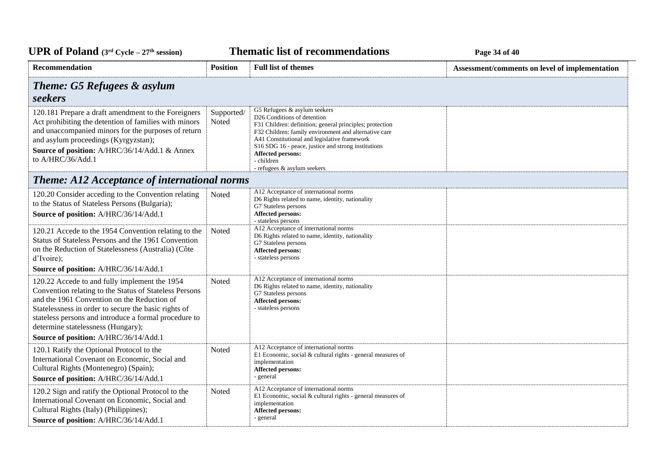*C***ELE <b>EXECUTE: CYCLE 24 CYCLE 24 Page 34** of 40

| Recommendation                                                                                                                                                                                                                                                                                                                                         | <b>Position</b>     | <b>Full list of themes</b>                                                                                                                                                                                                                                                                                                                                                                          | Assessment/comments on level of implementation |
|--------------------------------------------------------------------------------------------------------------------------------------------------------------------------------------------------------------------------------------------------------------------------------------------------------------------------------------------------------|---------------------|-----------------------------------------------------------------------------------------------------------------------------------------------------------------------------------------------------------------------------------------------------------------------------------------------------------------------------------------------------------------------------------------------------|------------------------------------------------|
| <b>Theme: G5 Refugees &amp; asylum</b><br>seekers                                                                                                                                                                                                                                                                                                      |                     |                                                                                                                                                                                                                                                                                                                                                                                                     |                                                |
| 120.181 Prepare a draft amendment to the Foreigners<br>Act prohibiting the detention of families with minors<br>and unaccompanied minors for the purposes of return<br>and asylum proceedings (Kyrgyzstan);<br>Source of position: A/HRC/36/14/Add.1 & Annex<br>to A/HRC/36/Add.1                                                                      | Supported/<br>Noted | G5 Refugees & asylum seekers<br>D <sub>26</sub> Conditions of detention<br>F31 Children: definition; general principles; protection<br>F32 Children: family environment and alternative care<br>A41 Constitutional and legislative framework<br>S <sub>16</sub> SDG <sub>16</sub> - peace, justice and strong institutions<br><b>Affected persons:</b><br>- children<br>- refugees & asylum seekers |                                                |
| <b>Theme: A12 Acceptance of international norms</b>                                                                                                                                                                                                                                                                                                    |                     |                                                                                                                                                                                                                                                                                                                                                                                                     |                                                |
| 120.20 Consider acceding to the Convention relating<br>to the Status of Stateless Persons (Bulgaria);<br>Source of position: A/HRC/36/14/Add.1                                                                                                                                                                                                         | Noted               | A12 Acceptance of international norms<br>D6 Rights related to name, identity, nationality<br>G7 Stateless persons<br><b>Affected persons:</b><br>- stateless persons                                                                                                                                                                                                                                |                                                |
| 120.21 Accede to the 1954 Convention relating to the<br>Status of Stateless Persons and the 1961 Convention<br>on the Reduction of Statelessness (Australia) (Côte<br>d'Ivoire);                                                                                                                                                                       | Noted               | A12 Acceptance of international norms<br>D6 Rights related to name, identity, nationality<br>G7 Stateless persons<br>Affected persons:<br>- stateless persons                                                                                                                                                                                                                                       |                                                |
| Source of position: A/HRC/36/14/Add.1                                                                                                                                                                                                                                                                                                                  |                     |                                                                                                                                                                                                                                                                                                                                                                                                     |                                                |
| 120.22 Accede to and fully implement the 1954<br>Convention relating to the Status of Stateless Persons<br>and the 1961 Convention on the Reduction of<br>Statelessness in order to secure the basic rights of<br>stateless persons and introduce a formal procedure to<br>determine statelessness (Hungary);<br>Source of position: A/HRC/36/14/Add.1 | Noted               | A12 Acceptance of international norms<br>D6 Rights related to name, identity, nationality<br>G7 Stateless persons<br><b>Affected persons:</b><br>- stateless persons                                                                                                                                                                                                                                |                                                |
| 120.1 Ratify the Optional Protocol to the<br>International Covenant on Economic, Social and<br>Cultural Rights (Montenegro) (Spain);<br>Source of position: A/HRC/36/14/Add.1                                                                                                                                                                          | Noted               | A12 Acceptance of international norms<br>E1 Economic, social & cultural rights - general measures of<br>implementation<br><b>Affected persons:</b><br>- general                                                                                                                                                                                                                                     |                                                |
| 120.2 Sign and ratify the Optional Protocol to the<br>International Covenant on Economic, Social and<br>Cultural Rights (Italy) (Philippines);<br>Source of position: A/HRC/36/14/Add.1                                                                                                                                                                | Noted               | A12 Acceptance of international norms<br>E1 Economic, social & cultural rights - general measures of<br>implementation<br>Affected persons:<br>- general                                                                                                                                                                                                                                            |                                                |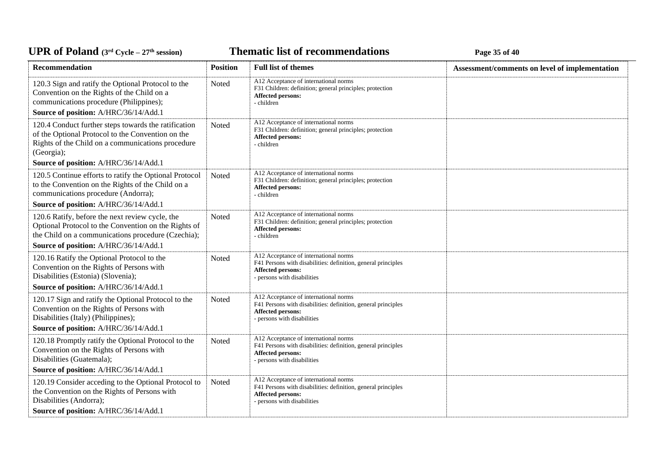*C***ELE <b>EXECUTE: CYCLE 27E** *C***ELE <b>EXECUTE: Page 35** of 40

| Recommendation                                                                                                                                                                              | <b>Position</b> | <b>Full list of themes</b>                                                                                                                                        | Assessment/comments on level of implementation |
|---------------------------------------------------------------------------------------------------------------------------------------------------------------------------------------------|-----------------|-------------------------------------------------------------------------------------------------------------------------------------------------------------------|------------------------------------------------|
| 120.3 Sign and ratify the Optional Protocol to the<br>Convention on the Rights of the Child on a<br>communications procedure (Philippines);<br>Source of position: A/HRC/36/14/Add.1        | Noted           | A12 Acceptance of international norms<br>F31 Children: definition; general principles; protection<br><b>Affected persons:</b><br>- children                       |                                                |
| 120.4 Conduct further steps towards the ratification<br>of the Optional Protocol to the Convention on the<br>Rights of the Child on a communications procedure<br>(Georgia);                | Noted           | A12 Acceptance of international norms<br>F31 Children: definition; general principles; protection<br><b>Affected persons:</b><br>- children                       |                                                |
| Source of position: A/HRC/36/14/Add.1                                                                                                                                                       |                 |                                                                                                                                                                   |                                                |
| 120.5 Continue efforts to ratify the Optional Protocol<br>to the Convention on the Rights of the Child on a<br>communications procedure (Andorra);<br>Source of position: A/HRC/36/14/Add.1 | Noted           | A12 Acceptance of international norms<br>F31 Children: definition; general principles; protection<br><b>Affected persons:</b><br>- children                       |                                                |
| 120.6 Ratify, before the next review cycle, the<br>Optional Protocol to the Convention on the Rights of<br>the Child on a communications procedure (Czechia);                               | Noted           | A12 Acceptance of international norms<br>F31 Children: definition; general principles; protection<br><b>Affected persons:</b><br>- children                       |                                                |
| Source of position: A/HRC/36/14/Add.1                                                                                                                                                       |                 |                                                                                                                                                                   |                                                |
| 120.16 Ratify the Optional Protocol to the<br>Convention on the Rights of Persons with<br>Disabilities (Estonia) (Slovenia);<br>Source of position: A/HRC/36/14/Add.1                       | Noted           | A12 Acceptance of international norms<br>F41 Persons with disabilities: definition, general principles<br><b>Affected persons:</b><br>- persons with disabilities |                                                |
| 120.17 Sign and ratify the Optional Protocol to the<br>Convention on the Rights of Persons with<br>Disabilities (Italy) (Philippines);<br>Source of position: A/HRC/36/14/Add.1             | Noted           | A12 Acceptance of international norms<br>F41 Persons with disabilities: definition, general principles<br><b>Affected persons:</b><br>- persons with disabilities |                                                |
| 120.18 Promptly ratify the Optional Protocol to the<br>Convention on the Rights of Persons with<br>Disabilities (Guatemala);                                                                | Noted           | A12 Acceptance of international norms<br>F41 Persons with disabilities: definition, general principles<br><b>Affected persons:</b><br>- persons with disabilities |                                                |
| Source of position: A/HRC/36/14/Add.1                                                                                                                                                       |                 |                                                                                                                                                                   |                                                |
| 120.19 Consider acceding to the Optional Protocol to<br>the Convention on the Rights of Persons with<br>Disabilities (Andorra);                                                             | Noted           | A12 Acceptance of international norms<br>F41 Persons with disabilities: definition, general principles<br><b>Affected persons:</b><br>- persons with disabilities |                                                |
| Source of position: A/HRC/36/14/Add.1                                                                                                                                                       |                 |                                                                                                                                                                   |                                                |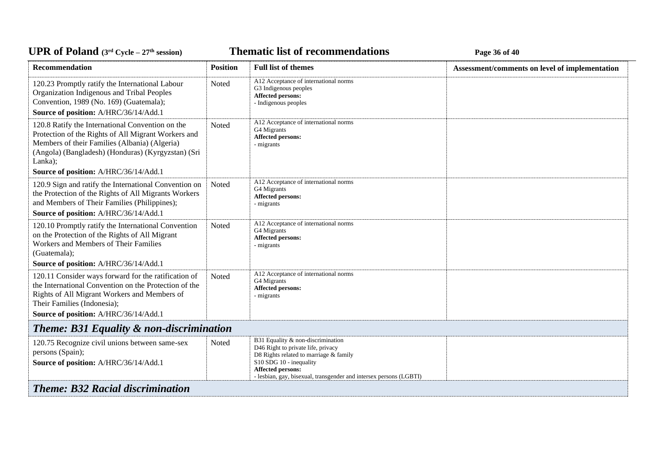**Thematic list of recommendations Page 36** of 40

| <b>Recommendation</b>                                                                                                                                                                                                                                              | <b>Position</b> | <b>Full list of themes</b>                                                                                                                                                                                                              | Assessment/comments on level of implementation |  |
|--------------------------------------------------------------------------------------------------------------------------------------------------------------------------------------------------------------------------------------------------------------------|-----------------|-----------------------------------------------------------------------------------------------------------------------------------------------------------------------------------------------------------------------------------------|------------------------------------------------|--|
| 120.23 Promptly ratify the International Labour<br>Organization Indigenous and Tribal Peoples<br>Convention, 1989 (No. 169) (Guatemala);<br>Source of position: A/HRC/36/14/Add.1                                                                                  | Noted           | A12 Acceptance of international norms<br>G3 Indigenous peoples<br>Affected persons:<br>- Indigenous peoples                                                                                                                             |                                                |  |
| 120.8 Ratify the International Convention on the<br>Protection of the Rights of All Migrant Workers and<br>Members of their Families (Albania) (Algeria)<br>(Angola) (Bangladesh) (Honduras) (Kyrgyzstan) (Sri<br>Lanka);<br>Source of position: A/HRC/36/14/Add.1 | Noted           | A12 Acceptance of international norms<br>G4 Migrants<br><b>Affected persons:</b><br>- migrants                                                                                                                                          |                                                |  |
| 120.9 Sign and ratify the International Convention on<br>the Protection of the Rights of All Migrants Workers<br>and Members of Their Families (Philippines);                                                                                                      | Noted           | A12 Acceptance of international norms<br>G4 Migrants<br>Affected persons:<br>- migrants                                                                                                                                                 |                                                |  |
| Source of position: A/HRC/36/14/Add.1                                                                                                                                                                                                                              |                 |                                                                                                                                                                                                                                         |                                                |  |
| 120.10 Promptly ratify the International Convention<br>on the Protection of the Rights of All Migrant<br>Workers and Members of Their Families<br>(Guatemala);<br>Source of position: A/HRC/36/14/Add.1                                                            | Noted           | A12 Acceptance of international norms<br>G4 Migrants<br>Affected persons:<br>- migrants                                                                                                                                                 |                                                |  |
| 120.11 Consider ways forward for the ratification of<br>the International Convention on the Protection of the<br>Rights of All Migrant Workers and Members of<br>Their Families (Indonesia);<br>Source of position: A/HRC/36/14/Add.1                              | Noted           | A12 Acceptance of international norms<br>G4 Migrants<br><b>Affected persons:</b><br>- migrants                                                                                                                                          |                                                |  |
| <b>Theme: B31 Equality &amp; non-discrimination</b>                                                                                                                                                                                                                |                 |                                                                                                                                                                                                                                         |                                                |  |
| 120.75 Recognize civil unions between same-sex<br>persons (Spain);<br>Source of position: A/HRC/36/14/Add.1                                                                                                                                                        | <b>Noted</b>    | B31 Equality & non-discrimination<br>D46 Right to private life, privacy<br>D8 Rights related to marriage & family<br>S10 SDG 10 - inequality<br>Affected persons:<br>- lesbian, gay, bisexual, transgender and intersex persons (LGBTI) |                                                |  |
| <b>Theme: B32 Racial discrimination</b>                                                                                                                                                                                                                            |                 |                                                                                                                                                                                                                                         |                                                |  |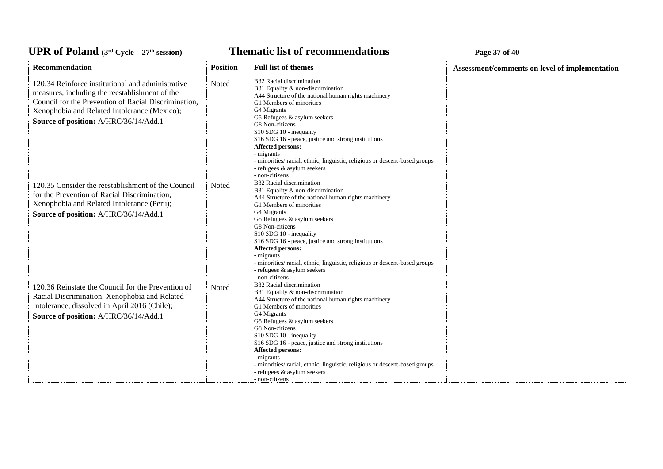*C***ELE <b>EXECUTE: CYCLE 27 Page 37** of 40

| Recommendation                                                                                                                                                                                                                                       | <b>Position</b> | <b>Full list of themes</b>                                                                                                                                                                                                                                                                                                                                                                                                                                                                       | Assessment/comments on level of implementation |
|------------------------------------------------------------------------------------------------------------------------------------------------------------------------------------------------------------------------------------------------------|-----------------|--------------------------------------------------------------------------------------------------------------------------------------------------------------------------------------------------------------------------------------------------------------------------------------------------------------------------------------------------------------------------------------------------------------------------------------------------------------------------------------------------|------------------------------------------------|
| 120.34 Reinforce institutional and administrative<br>measures, including the reestablishment of the<br>Council for the Prevention of Racial Discrimination,<br>Xenophobia and Related Intolerance (Mexico);<br>Source of position: A/HRC/36/14/Add.1 | Noted           | B32 Racial discrimination<br>B31 Equality & non-discrimination<br>A44 Structure of the national human rights machinery<br>G1 Members of minorities<br>G4 Migrants<br>G5 Refugees & asylum seekers<br>G8 Non-citizens<br>S10 SDG 10 - inequality<br>S <sub>16</sub> SDG <sub>16</sub> - peace, justice and strong institutions<br>Affected persons:<br>- migrants<br>- minorities/ racial, ethnic, linguistic, religious or descent-based groups<br>- refugees & asylum seekers<br>- non-citizens |                                                |
| 120.35 Consider the reestablishment of the Council<br>for the Prevention of Racial Discrimination,<br>Xenophobia and Related Intolerance (Peru);<br>Source of position: A/HRC/36/14/Add.1                                                            | Noted           | B32 Racial discrimination<br>B31 Equality & non-discrimination<br>A44 Structure of the national human rights machinery<br>G1 Members of minorities<br>G4 Migrants<br>G5 Refugees & asylum seekers<br>G8 Non-citizens<br>S10 SDG 10 - inequality<br>S <sub>16</sub> SDG <sub>16</sub> - peace, justice and strong institutions<br>Affected persons:<br>- migrants<br>- minorities/ racial, ethnic, linguistic, religious or descent-based groups<br>- refugees & asylum seekers<br>- non-citizens |                                                |
| 120.36 Reinstate the Council for the Prevention of<br>Racial Discrimination, Xenophobia and Related<br>Intolerance, dissolved in April 2016 (Chile);<br>Source of position: A/HRC/36/14/Add.1                                                        | Noted           | B32 Racial discrimination<br>B31 Equality & non-discrimination<br>A44 Structure of the national human rights machinery<br>G1 Members of minorities<br>G4 Migrants<br>G5 Refugees & asylum seekers<br>G8 Non-citizens<br>S10 SDG 10 - inequality<br>S <sub>16</sub> SDG <sub>16</sub> - peace, justice and strong institutions<br>Affected persons:<br>- migrants<br>- minorities/ racial, ethnic, linguistic, religious or descent-based groups<br>- refugees & asylum seekers<br>- non-citizens |                                                |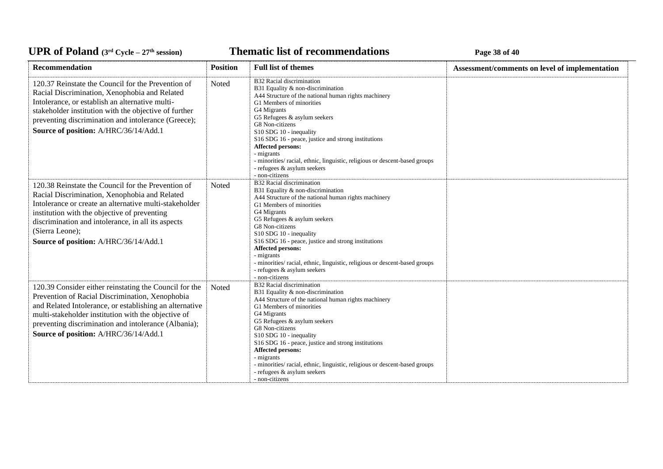*C***ELE <b>EXECUTE: CYCLE 27E 27E 27E 27E 27E 27E** 28*E* **28E** 28*E* 28*E* 28**E** 28**E** 

| Recommendation                                                                                                                                                                                                                                                                                                                  | <b>Position</b> | <b>Full list of themes</b>                                                                                                                                                                                                                                                                                                                                                                                                                                                       | Assessment/comments on level of implementation |
|---------------------------------------------------------------------------------------------------------------------------------------------------------------------------------------------------------------------------------------------------------------------------------------------------------------------------------|-----------------|----------------------------------------------------------------------------------------------------------------------------------------------------------------------------------------------------------------------------------------------------------------------------------------------------------------------------------------------------------------------------------------------------------------------------------------------------------------------------------|------------------------------------------------|
| 120.37 Reinstate the Council for the Prevention of<br>Racial Discrimination, Xenophobia and Related<br>Intolerance, or establish an alternative multi-<br>stakeholder institution with the objective of further<br>preventing discrimination and intolerance (Greece);<br>Source of position: A/HRC/36/14/Add.1                 | Noted           | B32 Racial discrimination<br>B31 Equality & non-discrimination<br>A44 Structure of the national human rights machinery<br>G1 Members of minorities<br>G4 Migrants<br>G5 Refugees & asylum seekers<br>G8 Non-citizens<br>S10 SDG 10 - inequality<br>S16 SDG 16 - peace, justice and strong institutions<br><b>Affected persons:</b><br>- migrants<br>- minorities/ racial, ethnic, linguistic, religious or descent-based groups<br>- refugees & asylum seekers<br>- non-citizens |                                                |
| 120.38 Reinstate the Council for the Prevention of<br>Racial Discrimination, Xenophobia and Related<br>Intolerance or create an alternative multi-stakeholder<br>institution with the objective of preventing<br>discrimination and intolerance, in all its aspects<br>(Sierra Leone);<br>Source of position: A/HRC/36/14/Add.1 | Noted           | B32 Racial discrimination<br>B31 Equality & non-discrimination<br>A44 Structure of the national human rights machinery<br>G1 Members of minorities<br>G4 Migrants<br>G5 Refugees & asylum seekers<br>G8 Non-citizens<br>S10 SDG 10 - inequality<br>S16 SDG 16 - peace, justice and strong institutions<br>Affected persons:<br>- migrants<br>- minorities/ racial, ethnic, linguistic, religious or descent-based groups<br>- refugees & asylum seekers<br>- non-citizens        |                                                |
| 120.39 Consider either reinstating the Council for the<br>Prevention of Racial Discrimination, Xenophobia<br>and Related Intolerance, or establishing an alternative<br>multi-stakeholder institution with the objective of<br>preventing discrimination and intolerance (Albania);<br>Source of position: A/HRC/36/14/Add.1    | Noted           | B32 Racial discrimination<br>B31 Equality & non-discrimination<br>A44 Structure of the national human rights machinery<br>G1 Members of minorities<br>G4 Migrants<br>G5 Refugees & asylum seekers<br>G8 Non-citizens<br>S10 SDG 10 - inequality<br>S16 SDG 16 - peace, justice and strong institutions<br><b>Affected persons:</b><br>- migrants<br>- minorities/ racial, ethnic, linguistic, religious or descent-based groups<br>- refugees & asylum seekers<br>- non-citizens |                                                |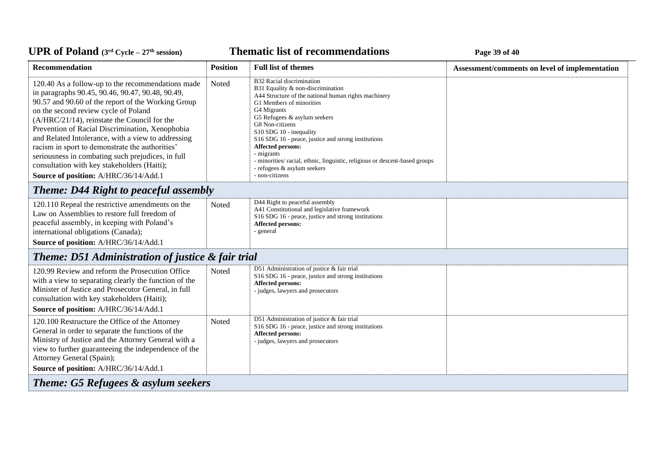*C***ELE <b>EXECUTE: CYCLE 27E** *C***ELE <b>EXECUTE: Page 39** of 40

| <b>Recommendation</b>                                                                                                                                                                                                                                                                                                                                                                                                                                                                                                                                        | <b>Position</b> | <b>Full list of themes</b>                                                                                                                                                                                                                                                                                                                                                                                                                                                | Assessment/comments on level of implementation |  |
|--------------------------------------------------------------------------------------------------------------------------------------------------------------------------------------------------------------------------------------------------------------------------------------------------------------------------------------------------------------------------------------------------------------------------------------------------------------------------------------------------------------------------------------------------------------|-----------------|---------------------------------------------------------------------------------------------------------------------------------------------------------------------------------------------------------------------------------------------------------------------------------------------------------------------------------------------------------------------------------------------------------------------------------------------------------------------------|------------------------------------------------|--|
| 120.40 As a follow-up to the recommendations made<br>in paragraphs 90.45, 90.46, 90.47, 90.48, 90.49,<br>90.57 and 90.60 of the report of the Working Group<br>on the second review cycle of Poland<br>(A/HRC/21/14), reinstate the Council for the<br>Prevention of Racial Discrimination, Xenophobia<br>and Related Intolerance, with a view to addressing<br>racism in sport to demonstrate the authorities'<br>seriousness in combating such prejudices, in full<br>consultation with key stakeholders (Haiti);<br>Source of position: A/HRC/36/14/Add.1 | Noted           | B32 Racial discrimination<br>B31 Equality & non-discrimination<br>A44 Structure of the national human rights machinery<br>G1 Members of minorities<br>G4 Migrants<br>G5 Refugees & asylum seekers<br>G8 Non-citizens<br>S10 SDG 10 - inequality<br>S16 SDG 16 - peace, justice and strong institutions<br>Affected persons:<br>- migrants<br>- minorities/ racial, ethnic, linguistic, religious or descent-based groups<br>- refugees & asylum seekers<br>- non-citizens |                                                |  |
| <b>Theme: D44 Right to peaceful assembly</b>                                                                                                                                                                                                                                                                                                                                                                                                                                                                                                                 |                 |                                                                                                                                                                                                                                                                                                                                                                                                                                                                           |                                                |  |
| 120.110 Repeal the restrictive amendments on the<br>Law on Assemblies to restore full freedom of<br>peaceful assembly, in keeping with Poland's<br>international obligations (Canada);<br>Source of position: A/HRC/36/14/Add.1                                                                                                                                                                                                                                                                                                                              | Noted           | D44 Right to peaceful assembly<br>A41 Constitutional and legislative framework<br>S16 SDG 16 - peace, justice and strong institutions<br>Affected persons:<br>- general                                                                                                                                                                                                                                                                                                   |                                                |  |
| <b>Theme: D51 Administration of justice &amp; fair trial</b>                                                                                                                                                                                                                                                                                                                                                                                                                                                                                                 |                 |                                                                                                                                                                                                                                                                                                                                                                                                                                                                           |                                                |  |
| 120.99 Review and reform the Prosecution Office<br>with a view to separating clearly the function of the<br>Minister of Justice and Prosecutor General, in full<br>consultation with key stakeholders (Haiti);<br>Source of position: A/HRC/36/14/Add.1                                                                                                                                                                                                                                                                                                      | <b>Noted</b>    | D51 Administration of justice & fair trial<br>S16 SDG 16 - peace, justice and strong institutions<br>Affected persons:<br>- judges, lawyers and prosecutors                                                                                                                                                                                                                                                                                                               |                                                |  |
| 120.100 Restructure the Office of the Attorney<br>General in order to separate the functions of the<br>Ministry of Justice and the Attorney General with a<br>view to further guaranteeing the independence of the<br>Attorney General (Spain);<br>Source of position: A/HRC/36/14/Add.1                                                                                                                                                                                                                                                                     | Noted           | D51 Administration of justice & fair trial<br>S16 SDG 16 - peace, justice and strong institutions<br>Affected persons:<br>- judges, lawyers and prosecutors                                                                                                                                                                                                                                                                                                               |                                                |  |
| <b>Theme: G5 Refugees &amp; asylum seekers</b>                                                                                                                                                                                                                                                                                                                                                                                                                                                                                                               |                 |                                                                                                                                                                                                                                                                                                                                                                                                                                                                           |                                                |  |